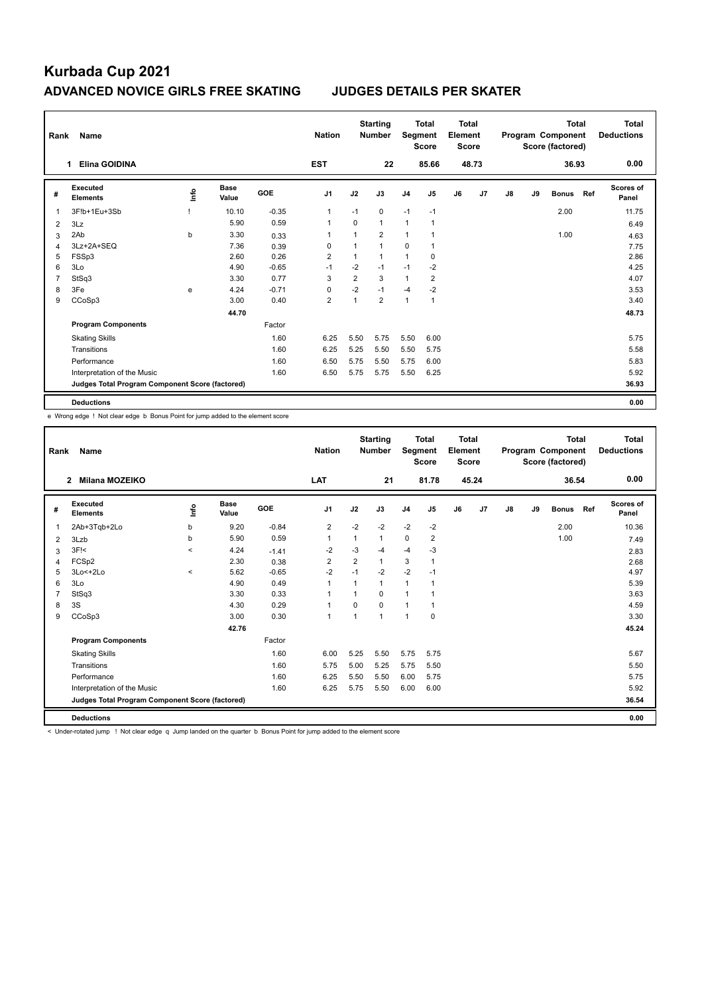| Rank           | Name                                            |                                  |                      |            | <b>Nation</b>  |                | <b>Starting</b><br><b>Number</b> | Segment        | <b>Total</b><br><b>Score</b> | Total<br>Element<br><b>Score</b> |                |    |    | <b>Total</b><br>Program Component<br>Score (factored) |     | Total<br><b>Deductions</b> |
|----------------|-------------------------------------------------|----------------------------------|----------------------|------------|----------------|----------------|----------------------------------|----------------|------------------------------|----------------------------------|----------------|----|----|-------------------------------------------------------|-----|----------------------------|
|                | <b>Elina GOIDINA</b><br>1.                      |                                  |                      |            | <b>EST</b>     |                | 22                               |                | 85.66                        |                                  | 48.73          |    |    | 36.93                                                 |     | 0.00                       |
| #              | <b>Executed</b><br><b>Elements</b>              | $\mathop{\mathsf{Irr}}\nolimits$ | <b>Base</b><br>Value | <b>GOE</b> | J1             | J2             | J3                               | J <sub>4</sub> | J <sub>5</sub>               | J6                               | J <sub>7</sub> | J8 | J9 | <b>Bonus</b>                                          | Ref | <b>Scores of</b><br>Panel  |
| 1              | 3F!b+1Eu+3Sb                                    |                                  | 10.10                | $-0.35$    | 1              | $-1$           | $\mathbf 0$                      | $-1$           | $-1$                         |                                  |                |    |    | 2.00                                                  |     | 11.75                      |
| 2              | 3Lz                                             |                                  | 5.90                 | 0.59       | 1              | $\Omega$       | $\mathbf{1}$                     | $\mathbf{1}$   | $\overline{1}$               |                                  |                |    |    |                                                       |     | 6.49                       |
| 3              | 2Ab                                             | b                                | 3.30                 | 0.33       | 1              |                | $\overline{2}$                   | 1              | 1                            |                                  |                |    |    | 1.00                                                  |     | 4.63                       |
| 4              | 3Lz+2A+SEQ                                      |                                  | 7.36                 | 0.39       | 0              |                | $\mathbf{1}$                     | 0              |                              |                                  |                |    |    |                                                       |     | 7.75                       |
| 5              | FSSp3                                           |                                  | 2.60                 | 0.26       | $\overline{2}$ | 1              | $\mathbf{1}$                     | $\mathbf{1}$   | 0                            |                                  |                |    |    |                                                       |     | 2.86                       |
| 6              | 3Lo                                             |                                  | 4.90                 | $-0.65$    | $-1$           | $-2$           | $-1$                             | $-1$           | $-2$                         |                                  |                |    |    |                                                       |     | 4.25                       |
| $\overline{7}$ | StSq3                                           |                                  | 3.30                 | 0.77       | 3              | $\overline{2}$ | 3                                | 1              | $\overline{\mathbf{c}}$      |                                  |                |    |    |                                                       |     | 4.07                       |
| 8              | 3Fe                                             | e                                | 4.24                 | $-0.71$    | 0              | $-2$           | $-1$                             | $-4$           | $-2$                         |                                  |                |    |    |                                                       |     | 3.53                       |
| 9              | CCoSp3                                          |                                  | 3.00                 | 0.40       | $\overline{2}$ | 1              | $\overline{2}$                   | $\mathbf{1}$   | $\mathbf{1}$                 |                                  |                |    |    |                                                       |     | 3.40                       |
|                |                                                 |                                  | 44.70                |            |                |                |                                  |                |                              |                                  |                |    |    |                                                       |     | 48.73                      |
|                | <b>Program Components</b>                       |                                  |                      | Factor     |                |                |                                  |                |                              |                                  |                |    |    |                                                       |     |                            |
|                | <b>Skating Skills</b>                           |                                  |                      | 1.60       | 6.25           | 5.50           | 5.75                             | 5.50           | 6.00                         |                                  |                |    |    |                                                       |     | 5.75                       |
|                | Transitions                                     |                                  |                      | 1.60       | 6.25           | 5.25           | 5.50                             | 5.50           | 5.75                         |                                  |                |    |    |                                                       |     | 5.58                       |
|                | Performance                                     |                                  |                      | 1.60       | 6.50           | 5.75           | 5.50                             | 5.75           | 6.00                         |                                  |                |    |    |                                                       |     | 5.83                       |
|                | Interpretation of the Music                     |                                  |                      | 1.60       | 6.50           | 5.75           | 5.75                             | 5.50           | 6.25                         |                                  |                |    |    |                                                       |     | 5.92                       |
|                | Judges Total Program Component Score (factored) |                                  |                      |            |                |                |                                  |                |                              |                                  |                |    |    |                                                       |     | 36.93                      |
|                | <b>Deductions</b>                               |                                  |                      |            |                |                |                                  |                |                              |                                  |                |    |    |                                                       |     | 0.00                       |

e Wrong edge ! Not clear edge b Bonus Point for jump added to the element score

| Rank | Name                                            |                          |                      |            | <b>Nation</b>  |                | <b>Starting</b><br><b>Number</b> | Segment        | <b>Total</b><br><b>Score</b> | Total<br>Element<br><b>Score</b> |       |    |    | <b>Total</b><br>Program Component<br>Score (factored) |     | Total<br><b>Deductions</b> |
|------|-------------------------------------------------|--------------------------|----------------------|------------|----------------|----------------|----------------------------------|----------------|------------------------------|----------------------------------|-------|----|----|-------------------------------------------------------|-----|----------------------------|
|      | Milana MOZEIKO<br>$\overline{\mathbf{2}}$       |                          |                      |            | <b>LAT</b>     |                | 21                               |                | 81.78                        |                                  | 45.24 |    |    | 36.54                                                 |     | 0.00                       |
| #    | Executed<br><b>Elements</b>                     | lnfo                     | <b>Base</b><br>Value | <b>GOE</b> | J <sub>1</sub> | J2             | J3                               | J <sub>4</sub> | J5                           | J6                               | J7    | J8 | J9 | <b>Bonus</b>                                          | Ref | Scores of<br>Panel         |
| 1    | 2Ab+3Tgb+2Lo                                    | b                        | 9.20                 | $-0.84$    | $\overline{2}$ | $-2$           | $-2$                             | $-2$           | $-2$                         |                                  |       |    |    | 2.00                                                  |     | 10.36                      |
| 2    | 3Lzb                                            | b                        | 5.90                 | 0.59       | 1              | 1              | $\mathbf{1}$                     | 0              | 2                            |                                  |       |    |    | 1.00                                                  |     | 7.49                       |
| 3    | 3F!<                                            | $\prec$                  | 4.24                 | $-1.41$    | $-2$           | $-3$           | $-4$                             | $-4$           | $-3$                         |                                  |       |    |    |                                                       |     | 2.83                       |
| 4    | FCSp2                                           |                          | 2.30                 | 0.38       | $\overline{2}$ | $\overline{2}$ | $\mathbf{1}$                     | 3              | 1                            |                                  |       |    |    |                                                       |     | 2.68                       |
| 5    | 3Lo<+2Lo                                        | $\overline{\phantom{a}}$ | 5.62                 | $-0.65$    | $-2$           | $-1$           | $-2$                             | $-2$           | $-1$                         |                                  |       |    |    |                                                       |     | 4.97                       |
| 6    | 3Lo                                             |                          | 4.90                 | 0.49       | 1              | 1              | $\mathbf{1}$                     | $\mathbf{1}$   | 1                            |                                  |       |    |    |                                                       |     | 5.39                       |
| 7    | StSq3                                           |                          | 3.30                 | 0.33       | 1              | 1              | $\Omega$                         | $\mathbf{1}$   |                              |                                  |       |    |    |                                                       |     | 3.63                       |
| 8    | 3S                                              |                          | 4.30                 | 0.29       | 1              | $\Omega$       | $\Omega$                         | 1              | 1                            |                                  |       |    |    |                                                       |     | 4.59                       |
| 9    | CCoSp3                                          |                          | 3.00                 | 0.30       | $\mathbf{1}$   | 1              | 1                                | $\mathbf{1}$   | $\mathbf 0$                  |                                  |       |    |    |                                                       |     | 3.30                       |
|      |                                                 |                          | 42.76                |            |                |                |                                  |                |                              |                                  |       |    |    |                                                       |     | 45.24                      |
|      | <b>Program Components</b>                       |                          |                      | Factor     |                |                |                                  |                |                              |                                  |       |    |    |                                                       |     |                            |
|      | <b>Skating Skills</b>                           |                          |                      | 1.60       | 6.00           | 5.25           | 5.50                             | 5.75           | 5.75                         |                                  |       |    |    |                                                       |     | 5.67                       |
|      | Transitions                                     |                          |                      | 1.60       | 5.75           | 5.00           | 5.25                             | 5.75           | 5.50                         |                                  |       |    |    |                                                       |     | 5.50                       |
|      | Performance                                     |                          |                      | 1.60       | 6.25           | 5.50           | 5.50                             | 6.00           | 5.75                         |                                  |       |    |    |                                                       |     | 5.75                       |
|      | Interpretation of the Music                     |                          |                      | 1.60       | 6.25           | 5.75           | 5.50                             | 6.00           | 6.00                         |                                  |       |    |    |                                                       |     | 5.92                       |
|      | Judges Total Program Component Score (factored) |                          |                      |            |                |                |                                  |                |                              |                                  |       |    |    |                                                       |     | 36.54                      |
|      | <b>Deductions</b>                               |                          |                      |            |                |                |                                  |                |                              |                                  |       |    |    |                                                       |     | 0.00                       |

< Under-rotated jump ! Not clear edge q Jump landed on the quarter b Bonus Point for jump added to the element score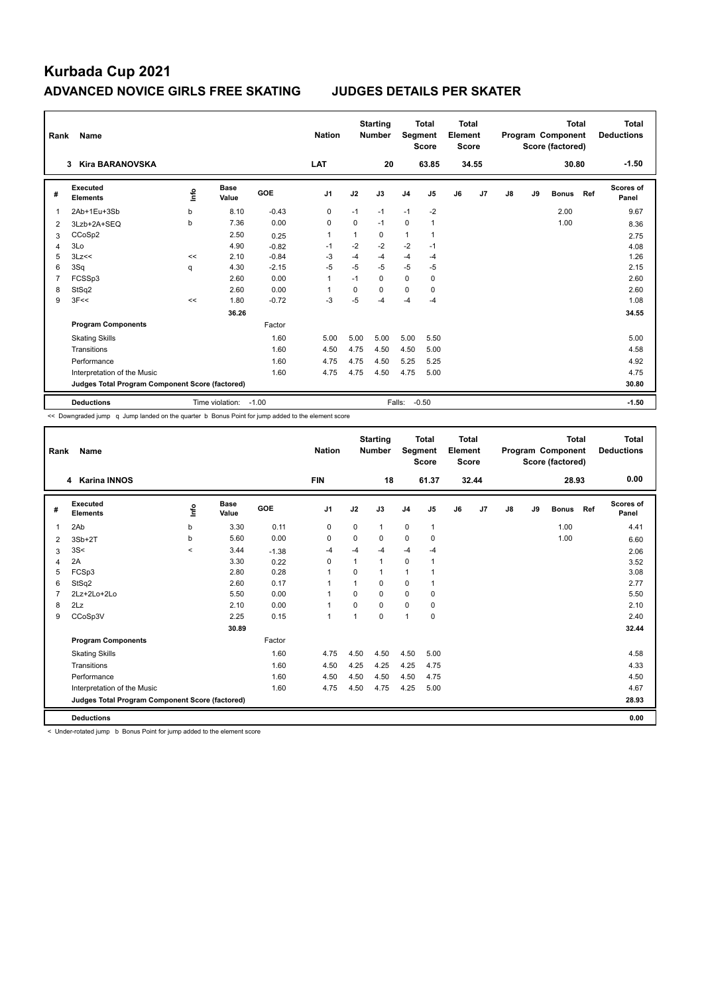| Rank | Name                                            |             |                 |            | <b>Nation</b>  |          | <b>Starting</b><br><b>Number</b> | Segment        | <b>Total</b><br><b>Score</b> | Total<br>Element<br><b>Score</b> |       |    |    | <b>Total</b><br>Program Component<br>Score (factored) |     | <b>Total</b><br><b>Deductions</b> |
|------|-------------------------------------------------|-------------|-----------------|------------|----------------|----------|----------------------------------|----------------|------------------------------|----------------------------------|-------|----|----|-------------------------------------------------------|-----|-----------------------------------|
|      | <b>Kira BARANOVSKA</b><br>3                     |             |                 |            | LAT            |          | 20                               |                | 63.85                        |                                  | 34.55 |    |    | 30.80                                                 |     | $-1.50$                           |
| #    | Executed<br><b>Elements</b>                     | Info        | Base<br>Value   | <b>GOE</b> | J <sub>1</sub> | J2       | J3                               | J <sub>4</sub> | J5                           | J6                               | J7    | J8 | J9 | <b>Bonus</b>                                          | Ref | Scores of<br>Panel                |
| 1    | 2Ab+1Eu+3Sb                                     | $\mathbf b$ | 8.10            | $-0.43$    | 0              | $-1$     | $-1$                             | $-1$           | $-2$                         |                                  |       |    |    | 2.00                                                  |     | 9.67                              |
| 2    | 3Lzb+2A+SEQ                                     | b           | 7.36            | 0.00       | 0              | 0        | $-1$                             | $\mathbf 0$    | $\mathbf{1}$                 |                                  |       |    |    | 1.00                                                  |     | 8.36                              |
| 3    | CCoSp2                                          |             | 2.50            | 0.25       | -1             | 1        | 0                                | $\mathbf{1}$   | 1                            |                                  |       |    |    |                                                       |     | 2.75                              |
| 4    | 3Lo                                             |             | 4.90            | $-0.82$    | $-1$           | $-2$     | $-2$                             | $-2$           | $-1$                         |                                  |       |    |    |                                                       |     | 4.08                              |
| 5    | 3Lz<<                                           | <<          | 2.10            | $-0.84$    | -3             | $-4$     | -4                               | $-4$           | $-4$                         |                                  |       |    |    |                                                       |     | 1.26                              |
| 6    | 3Sq                                             | q           | 4.30            | $-2.15$    | $-5$           | $-5$     | $-5$                             | $-5$           | $-5$                         |                                  |       |    |    |                                                       |     | 2.15                              |
| 7    | FCSSp3                                          |             | 2.60            | 0.00       | $\overline{1}$ | $-1$     | 0                                | $\mathbf 0$    | 0                            |                                  |       |    |    |                                                       |     | 2.60                              |
| 8    | StSq2                                           |             | 2.60            | 0.00       |                | $\Omega$ | 0                                | 0              | $\Omega$                     |                                  |       |    |    |                                                       |     | 2.60                              |
| 9    | 3F<<                                            | <<          | 1.80            | $-0.72$    | $-3$           | $-5$     | -4                               | $-4$           | $-4$                         |                                  |       |    |    |                                                       |     | 1.08                              |
|      |                                                 |             | 36.26           |            |                |          |                                  |                |                              |                                  |       |    |    |                                                       |     | 34.55                             |
|      | <b>Program Components</b>                       |             |                 | Factor     |                |          |                                  |                |                              |                                  |       |    |    |                                                       |     |                                   |
|      | <b>Skating Skills</b>                           |             |                 | 1.60       | 5.00           | 5.00     | 5.00                             | 5.00           | 5.50                         |                                  |       |    |    |                                                       |     | 5.00                              |
|      | Transitions                                     |             |                 | 1.60       | 4.50           | 4.75     | 4.50                             | 4.50           | 5.00                         |                                  |       |    |    |                                                       |     | 4.58                              |
|      | Performance                                     |             |                 | 1.60       | 4.75           | 4.75     | 4.50                             | 5.25           | 5.25                         |                                  |       |    |    |                                                       |     | 4.92                              |
|      | Interpretation of the Music                     |             |                 | 1.60       | 4.75           | 4.75     | 4.50                             | 4.75           | 5.00                         |                                  |       |    |    |                                                       |     | 4.75                              |
|      | Judges Total Program Component Score (factored) |             |                 |            |                |          |                                  |                |                              |                                  |       |    |    |                                                       |     | 30.80                             |
|      | <b>Deductions</b>                               |             | Time violation: | $-1.00$    |                |          |                                  | Falls:         | $-0.50$                      |                                  |       |    |    |                                                       |     | $-1.50$                           |

<< Downgraded jump q Jump landed on the quarter b Bonus Point for jump added to the element score

| Rank           | Name                                            |                          |                      |         | <b>Nation</b>  |          | <b>Starting</b><br><b>Number</b> | Segment        | <b>Total</b><br><b>Score</b> | Total<br>Element<br><b>Score</b> |       |    |    | <b>Total</b><br>Program Component<br>Score (factored) |     | <b>Total</b><br><b>Deductions</b> |
|----------------|-------------------------------------------------|--------------------------|----------------------|---------|----------------|----------|----------------------------------|----------------|------------------------------|----------------------------------|-------|----|----|-------------------------------------------------------|-----|-----------------------------------|
|                | 4 Karina INNOS                                  |                          |                      |         | <b>FIN</b>     |          | 18                               |                | 61.37                        |                                  | 32.44 |    |    | 28.93                                                 |     | 0.00                              |
| #              | Executed<br><b>Elements</b>                     | ١nf٥                     | <b>Base</b><br>Value | GOE     | J <sub>1</sub> | J2       | J3                               | J <sub>4</sub> | J <sub>5</sub>               | J6                               | J7    | J8 | J9 | <b>Bonus</b>                                          | Ref | Scores of<br>Panel                |
| 1              | 2Ab                                             | b                        | 3.30                 | 0.11    | 0              | 0        | 1                                | 0              | $\mathbf{1}$                 |                                  |       |    |    | 1.00                                                  |     | 4.41                              |
| 2              | $3Sb+2T$                                        | b                        | 5.60                 | 0.00    | 0              | 0        | 0                                | 0              | 0                            |                                  |       |    |    | 1.00                                                  |     | 6.60                              |
| 3              | 3S<                                             | $\overline{\phantom{0}}$ | 3.44                 | $-1.38$ | $-4$           | $-4$     | $-4$                             | $-4$           | $-4$                         |                                  |       |    |    |                                                       |     | 2.06                              |
| 4              | 2A                                              |                          | 3.30                 | 0.22    | $\Omega$       | 1        | 1                                | 0              | 1                            |                                  |       |    |    |                                                       |     | 3.52                              |
| 5              | FCSp3                                           |                          | 2.80                 | 0.28    | $\overline{1}$ | $\Omega$ |                                  | 1              |                              |                                  |       |    |    |                                                       |     | 3.08                              |
| 6              | StSq2                                           |                          | 2.60                 | 0.17    | 1              |          | 0                                | 0              | 1                            |                                  |       |    |    |                                                       |     | 2.77                              |
| $\overline{7}$ | 2Lz+2Lo+2Lo                                     |                          | 5.50                 | 0.00    | 1              | $\Omega$ | 0                                | 0              | 0                            |                                  |       |    |    |                                                       |     | 5.50                              |
| 8              | 2Lz                                             |                          | 2.10                 | 0.00    | 1              | $\Omega$ | 0                                | 0              | 0                            |                                  |       |    |    |                                                       |     | 2.10                              |
| 9              | CCoSp3V                                         |                          | 2.25                 | 0.15    | 1              | 1        | $\Omega$                         | $\overline{1}$ | 0                            |                                  |       |    |    |                                                       |     | 2.40                              |
|                |                                                 |                          | 30.89                |         |                |          |                                  |                |                              |                                  |       |    |    |                                                       |     | 32.44                             |
|                | <b>Program Components</b>                       |                          |                      | Factor  |                |          |                                  |                |                              |                                  |       |    |    |                                                       |     |                                   |
|                | <b>Skating Skills</b>                           |                          |                      | 1.60    | 4.75           | 4.50     | 4.50                             | 4.50           | 5.00                         |                                  |       |    |    |                                                       |     | 4.58                              |
|                | Transitions                                     |                          |                      | 1.60    | 4.50           | 4.25     | 4.25                             | 4.25           | 4.75                         |                                  |       |    |    |                                                       |     | 4.33                              |
|                | Performance                                     |                          |                      | 1.60    | 4.50           | 4.50     | 4.50                             | 4.50           | 4.75                         |                                  |       |    |    |                                                       |     | 4.50                              |
|                | Interpretation of the Music                     |                          |                      | 1.60    | 4.75           | 4.50     | 4.75                             | 4.25           | 5.00                         |                                  |       |    |    |                                                       |     | 4.67                              |
|                | Judges Total Program Component Score (factored) |                          |                      |         |                |          |                                  |                |                              |                                  |       |    |    |                                                       |     | 28.93                             |
|                | <b>Deductions</b>                               |                          |                      |         |                |          |                                  |                |                              |                                  |       |    |    |                                                       |     | 0.00                              |

< Under-rotated jump b Bonus Point for jump added to the element score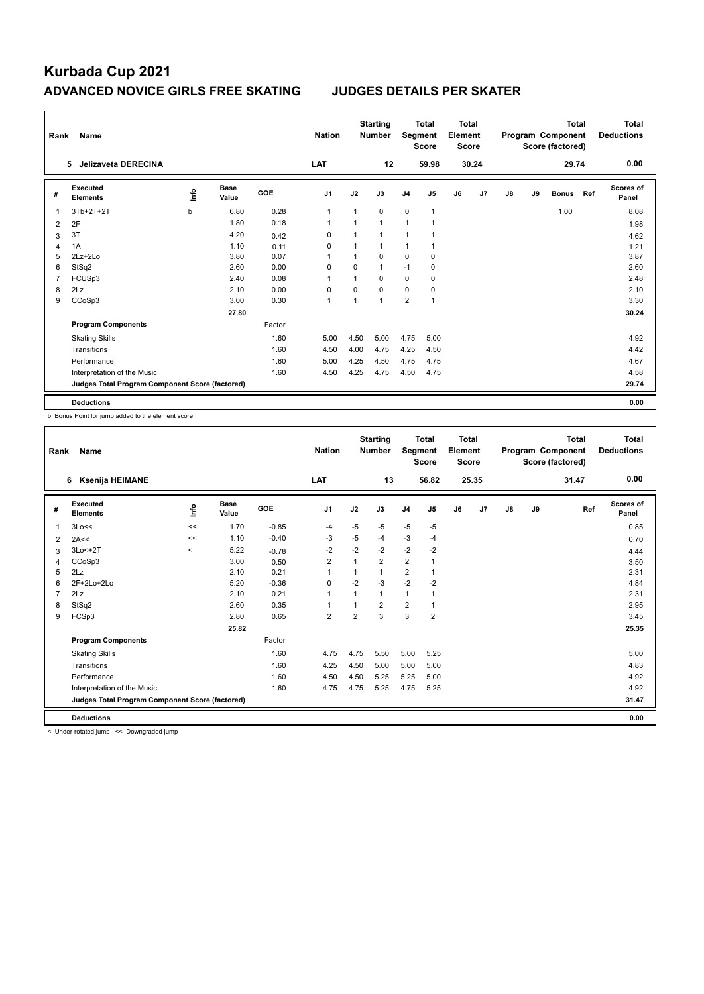| Rank           | Name                                            |      |                      |        | <b>Nation</b>  |                | <b>Starting</b><br><b>Number</b> | Segment        | Total<br><b>Score</b> | Total<br>Element<br><b>Score</b> |                |    |    | <b>Total</b><br>Program Component<br>Score (factored) |     | Total<br><b>Deductions</b> |
|----------------|-------------------------------------------------|------|----------------------|--------|----------------|----------------|----------------------------------|----------------|-----------------------|----------------------------------|----------------|----|----|-------------------------------------------------------|-----|----------------------------|
|                | <b>Jelizaveta DERECINA</b><br>5                 |      |                      |        | LAT            |                | 12                               |                | 59.98                 |                                  | 30.24          |    |    | 29.74                                                 |     | 0.00                       |
| #              | Executed<br><b>Elements</b>                     | ١nfo | <b>Base</b><br>Value | GOE    | J <sub>1</sub> | J2             | J3                               | J <sub>4</sub> | J <sub>5</sub>        | J6                               | J <sub>7</sub> | J8 | J9 | <b>Bonus</b>                                          | Ref | <b>Scores of</b><br>Panel  |
| 1              | 3Tb+2T+2T                                       | b    | 6.80                 | 0.28   | 1              | 1              | 0                                | $\Omega$       | $\mathbf{1}$          |                                  |                |    |    | 1.00                                                  |     | 8.08                       |
| 2              | 2F                                              |      | 1.80                 | 0.18   | $\mathbf{1}$   | 1              | 1                                | $\mathbf{1}$   | $\mathbf{1}$          |                                  |                |    |    |                                                       |     | 1.98                       |
| 3              | 3T                                              |      | 4.20                 | 0.42   | $\Omega$       | 1              | 1                                | $\overline{1}$ | 1                     |                                  |                |    |    |                                                       |     | 4.62                       |
| $\overline{4}$ | 1A                                              |      | 1.10                 | 0.11   | 0              | 1              | 1                                | 1              | 1                     |                                  |                |    |    |                                                       |     | 1.21                       |
| 5              | $2Lz+2Lo$                                       |      | 3.80                 | 0.07   | -1             | 1              | 0                                | $\Omega$       | 0                     |                                  |                |    |    |                                                       |     | 3.87                       |
| 6              | StSq2                                           |      | 2.60                 | 0.00   | 0              | $\Omega$       | 1                                | $-1$           | 0                     |                                  |                |    |    |                                                       |     | 2.60                       |
| $\overline{7}$ | FCUS <sub>p3</sub>                              |      | 2.40                 | 0.08   | $\overline{1}$ | $\overline{1}$ | 0                                | $\mathbf 0$    | 0                     |                                  |                |    |    |                                                       |     | 2.48                       |
| 8              | 2Lz                                             |      | 2.10                 | 0.00   | 0              | 0              | $\Omega$                         | $\mathbf 0$    | 0                     |                                  |                |    |    |                                                       |     | 2.10                       |
| 9              | CCoSp3                                          |      | 3.00                 | 0.30   | $\mathbf{1}$   | $\mathbf{1}$   | 1                                | $\overline{2}$ | $\mathbf{1}$          |                                  |                |    |    |                                                       |     | 3.30                       |
|                |                                                 |      | 27.80                |        |                |                |                                  |                |                       |                                  |                |    |    |                                                       |     | 30.24                      |
|                | <b>Program Components</b>                       |      |                      | Factor |                |                |                                  |                |                       |                                  |                |    |    |                                                       |     |                            |
|                | <b>Skating Skills</b>                           |      |                      | 1.60   | 5.00           | 4.50           | 5.00                             | 4.75           | 5.00                  |                                  |                |    |    |                                                       |     | 4.92                       |
|                | Transitions                                     |      |                      | 1.60   | 4.50           | 4.00           | 4.75                             | 4.25           | 4.50                  |                                  |                |    |    |                                                       |     | 4.42                       |
|                | Performance                                     |      |                      | 1.60   | 5.00           | 4.25           | 4.50                             | 4.75           | 4.75                  |                                  |                |    |    |                                                       |     | 4.67                       |
|                | Interpretation of the Music                     |      |                      | 1.60   | 4.50           | 4.25           | 4.75                             | 4.50           | 4.75                  |                                  |                |    |    |                                                       |     | 4.58                       |
|                | Judges Total Program Component Score (factored) |      |                      |        |                |                |                                  |                |                       |                                  |                |    |    |                                                       |     | 29.74                      |
|                | <b>Deductions</b>                               |      |                      |        |                |                |                                  |                |                       |                                  |                |    |    |                                                       |     | 0.00                       |

b Bonus Point for jump added to the element score

| Rank           | Name                                            |         |                      |         | <b>Nation</b>  |      | <b>Starting</b><br><b>Number</b> | Segment        | <b>Total</b><br><b>Score</b> | <b>Total</b><br>Element<br><b>Score</b> |       |               |    | <b>Total</b><br>Program Component<br>Score (factored) | <b>Total</b><br><b>Deductions</b> |
|----------------|-------------------------------------------------|---------|----------------------|---------|----------------|------|----------------------------------|----------------|------------------------------|-----------------------------------------|-------|---------------|----|-------------------------------------------------------|-----------------------------------|
|                | <b>Ksenija HEIMANE</b><br>6                     |         |                      |         | LAT            |      | 13                               |                | 56.82                        |                                         | 25.35 |               |    | 31.47                                                 | 0.00                              |
| #              | Executed<br><b>Elements</b>                     | Lnfo    | <b>Base</b><br>Value | GOE     | J <sub>1</sub> | J2   | J3                               | J <sub>4</sub> | J5                           | J6                                      | J7    | $\mathsf{J}8$ | J9 | Ref                                                   | <b>Scores of</b><br>Panel         |
| $\mathbf{1}$   | 3Lo<<                                           | <<      | 1.70                 | $-0.85$ | $-4$           | $-5$ | $-5$                             | $-5$           | $-5$                         |                                         |       |               |    |                                                       | 0.85                              |
| $\overline{2}$ | 2A<<                                            | <<      | 1.10                 | $-0.40$ | -3             | $-5$ | $-4$                             | $-3$           | -4                           |                                         |       |               |    |                                                       | 0.70                              |
| 3              | 3Lo<+2T                                         | $\prec$ | 5.22                 | $-0.78$ | $-2$           | $-2$ | $-2$                             | $-2$           | $-2$                         |                                         |       |               |    |                                                       | 4.44                              |
| 4              | CCoSp3                                          |         | 3.00                 | 0.50    | $\overline{2}$ |      | $\overline{2}$                   | $\overline{2}$ |                              |                                         |       |               |    |                                                       | 3.50                              |
| 5              | 2Lz                                             |         | 2.10                 | 0.21    | 1              |      | 1                                | $\overline{2}$ |                              |                                         |       |               |    |                                                       | 2.31                              |
| 6              | 2F+2Lo+2Lo                                      |         | 5.20                 | $-0.36$ | $\mathbf 0$    | $-2$ | $-3$                             | $-2$           | $-2$                         |                                         |       |               |    |                                                       | 4.84                              |
| 7              | 2Lz                                             |         | 2.10                 | 0.21    | $\mathbf{1}$   |      | 1                                | $\mathbf{1}$   |                              |                                         |       |               |    |                                                       | 2.31                              |
| 8              | StSq2                                           |         | 2.60                 | 0.35    | 1              |      | $\overline{2}$                   | $\overline{2}$ |                              |                                         |       |               |    |                                                       | 2.95                              |
| 9              | FCSp3                                           |         | 2.80                 | 0.65    | $\overline{2}$ | 2    | 3                                | 3              | $\overline{\mathbf{c}}$      |                                         |       |               |    |                                                       | 3.45                              |
|                |                                                 |         | 25.82                |         |                |      |                                  |                |                              |                                         |       |               |    |                                                       | 25.35                             |
|                | <b>Program Components</b>                       |         |                      | Factor  |                |      |                                  |                |                              |                                         |       |               |    |                                                       |                                   |
|                | <b>Skating Skills</b>                           |         |                      | 1.60    | 4.75           | 4.75 | 5.50                             | 5.00           | 5.25                         |                                         |       |               |    |                                                       | 5.00                              |
|                | Transitions                                     |         |                      | 1.60    | 4.25           | 4.50 | 5.00                             | 5.00           | 5.00                         |                                         |       |               |    |                                                       | 4.83                              |
|                | Performance                                     |         |                      | 1.60    | 4.50           | 4.50 | 5.25                             | 5.25           | 5.00                         |                                         |       |               |    |                                                       | 4.92                              |
|                | Interpretation of the Music                     |         |                      | 1.60    | 4.75           | 4.75 | 5.25                             | 4.75           | 5.25                         |                                         |       |               |    |                                                       | 4.92                              |
|                | Judges Total Program Component Score (factored) |         |                      |         |                |      |                                  |                |                              |                                         |       |               |    |                                                       | 31.47                             |
|                | <b>Deductions</b>                               |         |                      |         |                |      |                                  |                |                              |                                         |       |               |    |                                                       | 0.00                              |

< Under-rotated jump << Downgraded jump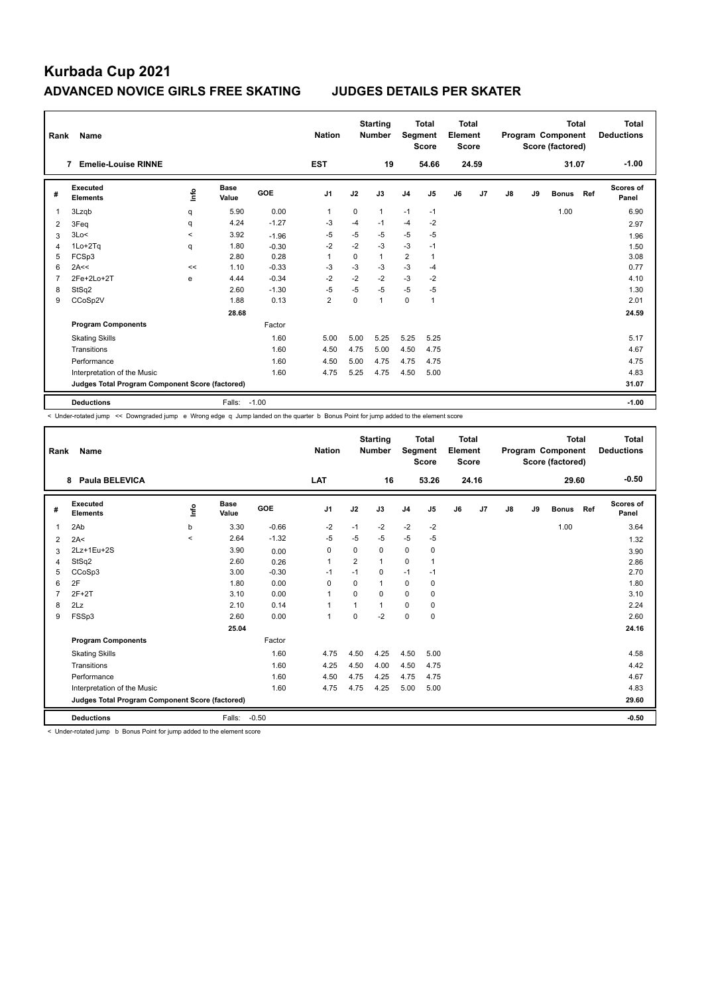| Rank           | Name                                            |         |                      |         | <b>Nation</b>  |          | <b>Starting</b><br><b>Number</b> | Segment        | <b>Total</b><br><b>Score</b> | Total<br>Element<br><b>Score</b> |                |    |    | Total<br>Program Component<br>Score (factored) |     | Total<br><b>Deductions</b> |
|----------------|-------------------------------------------------|---------|----------------------|---------|----------------|----------|----------------------------------|----------------|------------------------------|----------------------------------|----------------|----|----|------------------------------------------------|-----|----------------------------|
|                | <b>Emelie-Louise RINNE</b><br>7                 |         |                      |         | <b>EST</b>     |          | 19                               |                | 54.66                        |                                  | 24.59          |    |    | 31.07                                          |     | $-1.00$                    |
| #              | Executed<br><b>Elements</b>                     | ۴       | <b>Base</b><br>Value | GOE     | J <sub>1</sub> | J2       | J3                               | J <sub>4</sub> | J <sub>5</sub>               | J6                               | J <sub>7</sub> | J8 | J9 | <b>Bonus</b>                                   | Ref | Scores of<br>Panel         |
| $\mathbf{1}$   | 3Lzqb                                           | q       | 5.90                 | 0.00    | $\mathbf{1}$   | $\Omega$ | $\mathbf{1}$                     | $-1$           | $-1$                         |                                  |                |    |    | 1.00                                           |     | 6.90                       |
| 2              | 3Feq                                            | q       | 4.24                 | $-1.27$ | $-3$           | $-4$     | $-1$                             | $-4$           | $-2$                         |                                  |                |    |    |                                                |     | 2.97                       |
| 3              | 3Lo<                                            | $\prec$ | 3.92                 | $-1.96$ | $-5$           | $-5$     | $-5$                             | $-5$           | $-5$                         |                                  |                |    |    |                                                |     | 1.96                       |
| 4              | 1Lo+2Tq                                         | q       | 1.80                 | $-0.30$ | $-2$           | $-2$     | $-3$                             | $-3$           | $-1$                         |                                  |                |    |    |                                                |     | 1.50                       |
| 5              | FCSp3                                           |         | 2.80                 | 0.28    | $\overline{1}$ | 0        | 1                                | $\overline{2}$ | $\mathbf{1}$                 |                                  |                |    |    |                                                |     | 3.08                       |
| 6              | 2A<<                                            | <<      | 1.10                 | $-0.33$ | $-3$           | $-3$     | $-3$                             | $-3$           | $-4$                         |                                  |                |    |    |                                                |     | 0.77                       |
| $\overline{7}$ | 2Fe+2Lo+2T                                      | e       | 4.44                 | $-0.34$ | $-2$           | $-2$     | $-2$                             | $-3$           | $-2$                         |                                  |                |    |    |                                                |     | 4.10                       |
| 8              | StSq2                                           |         | 2.60                 | $-1.30$ | $-5$           | $-5$     | $-5$                             | $-5$           | $-5$                         |                                  |                |    |    |                                                |     | 1.30                       |
| 9              | CCoSp2V                                         |         | 1.88                 | 0.13    | $\overline{2}$ | $\Omega$ | 1                                | $\mathbf 0$    | $\mathbf{1}$                 |                                  |                |    |    |                                                |     | 2.01                       |
|                |                                                 |         | 28.68                |         |                |          |                                  |                |                              |                                  |                |    |    |                                                |     | 24.59                      |
|                | <b>Program Components</b>                       |         |                      | Factor  |                |          |                                  |                |                              |                                  |                |    |    |                                                |     |                            |
|                | <b>Skating Skills</b>                           |         |                      | 1.60    | 5.00           | 5.00     | 5.25                             | 5.25           | 5.25                         |                                  |                |    |    |                                                |     | 5.17                       |
|                | Transitions                                     |         |                      | 1.60    | 4.50           | 4.75     | 5.00                             | 4.50           | 4.75                         |                                  |                |    |    |                                                |     | 4.67                       |
|                | Performance                                     |         |                      | 1.60    | 4.50           | 5.00     | 4.75                             | 4.75           | 4.75                         |                                  |                |    |    |                                                |     | 4.75                       |
|                | Interpretation of the Music                     |         |                      | 1.60    | 4.75           | 5.25     | 4.75                             | 4.50           | 5.00                         |                                  |                |    |    |                                                |     | 4.83                       |
|                | Judges Total Program Component Score (factored) |         |                      |         |                |          |                                  |                |                              |                                  |                |    |    |                                                |     | 31.07                      |
|                | <b>Deductions</b>                               |         | Falls:               | $-1.00$ |                |          |                                  |                |                              |                                  |                |    |    |                                                |     | $-1.00$                    |

< Under-rotated jump << Downgraded jump e Wrong edge q Jump landed on the quarter b Bonus Point for jump added to the element score

| Rank           | <b>Name</b>                                     |         |                      |         | <b>Nation</b>  |                | <b>Starting</b><br><b>Number</b> | Segment        | Total<br><b>Score</b> | Total<br>Element<br><b>Score</b> |                |    |    | Total<br>Program Component<br>Score (factored) |     | <b>Total</b><br><b>Deductions</b> |
|----------------|-------------------------------------------------|---------|----------------------|---------|----------------|----------------|----------------------------------|----------------|-----------------------|----------------------------------|----------------|----|----|------------------------------------------------|-----|-----------------------------------|
|                | Paula BELEVICA<br>8                             |         |                      |         | LAT            |                | 16                               |                | 53.26                 |                                  | 24.16          |    |    | 29.60                                          |     | $-0.50$                           |
| #              | <b>Executed</b><br><b>Elements</b>              | ١nto    | <b>Base</b><br>Value | GOE     | J <sub>1</sub> | J2             | J3                               | J <sub>4</sub> | J5                    | J6                               | J <sub>7</sub> | J8 | J9 | <b>Bonus</b>                                   | Ref | <b>Scores of</b><br>Panel         |
| $\mathbf{1}$   | 2Ab                                             | b       | 3.30                 | $-0.66$ | $-2$           | $-1$           | $-2$                             | $-2$           | $-2$                  |                                  |                |    |    | 1.00                                           |     | 3.64                              |
| 2              | 2A<                                             | $\prec$ | 2.64                 | $-1.32$ | -5             | $-5$           | $-5$                             | $-5$           | $-5$                  |                                  |                |    |    |                                                |     | 1.32                              |
| 3              | 2Lz+1Eu+2S                                      |         | 3.90                 | 0.00    | 0              | 0              | 0                                | $\mathbf 0$    | 0                     |                                  |                |    |    |                                                |     | 3.90                              |
| 4              | StSq2                                           |         | 2.60                 | 0.26    | $\overline{1}$ | $\overline{2}$ | 1                                | $\Omega$       | 1                     |                                  |                |    |    |                                                |     | 2.86                              |
| 5              | CCoSp3                                          |         | 3.00                 | $-0.30$ | $-1$           | $-1$           | 0                                | $-1$           | $-1$                  |                                  |                |    |    |                                                |     | 2.70                              |
| 6              | 2F                                              |         | 1.80                 | 0.00    | $\Omega$       | $\Omega$       | 1                                | $\Omega$       | 0                     |                                  |                |    |    |                                                |     | 1.80                              |
| $\overline{7}$ | $2F+2T$                                         |         | 3.10                 | 0.00    | $\overline{1}$ | $\Omega$       | 0                                | $\Omega$       | 0                     |                                  |                |    |    |                                                |     | 3.10                              |
| 8              | 2Lz                                             |         | 2.10                 | 0.14    | $\overline{1}$ | 1              | 1                                | 0              | 0                     |                                  |                |    |    |                                                |     | 2.24                              |
| 9              | FSSp3                                           |         | 2.60                 | 0.00    | $\mathbf{1}$   | $\Omega$       | $-2$                             | $\mathbf 0$    | $\mathbf 0$           |                                  |                |    |    |                                                |     | 2.60                              |
|                |                                                 |         | 25.04                |         |                |                |                                  |                |                       |                                  |                |    |    |                                                |     | 24.16                             |
|                | <b>Program Components</b>                       |         |                      | Factor  |                |                |                                  |                |                       |                                  |                |    |    |                                                |     |                                   |
|                | <b>Skating Skills</b>                           |         |                      | 1.60    | 4.75           | 4.50           | 4.25                             | 4.50           | 5.00                  |                                  |                |    |    |                                                |     | 4.58                              |
|                | Transitions                                     |         |                      | 1.60    | 4.25           | 4.50           | 4.00                             | 4.50           | 4.75                  |                                  |                |    |    |                                                |     | 4.42                              |
|                | Performance                                     |         |                      | 1.60    | 4.50           | 4.75           | 4.25                             | 4.75           | 4.75                  |                                  |                |    |    |                                                |     | 4.67                              |
|                | Interpretation of the Music                     |         |                      | 1.60    | 4.75           | 4.75           | 4.25                             | 5.00           | 5.00                  |                                  |                |    |    |                                                |     | 4.83                              |
|                | Judges Total Program Component Score (factored) |         |                      |         |                |                |                                  |                |                       |                                  |                |    |    |                                                |     | 29.60                             |
|                | <b>Deductions</b>                               |         | Falls:               | $-0.50$ |                |                |                                  |                |                       |                                  |                |    |    |                                                |     | $-0.50$                           |

< Under-rotated jump b Bonus Point for jump added to the element score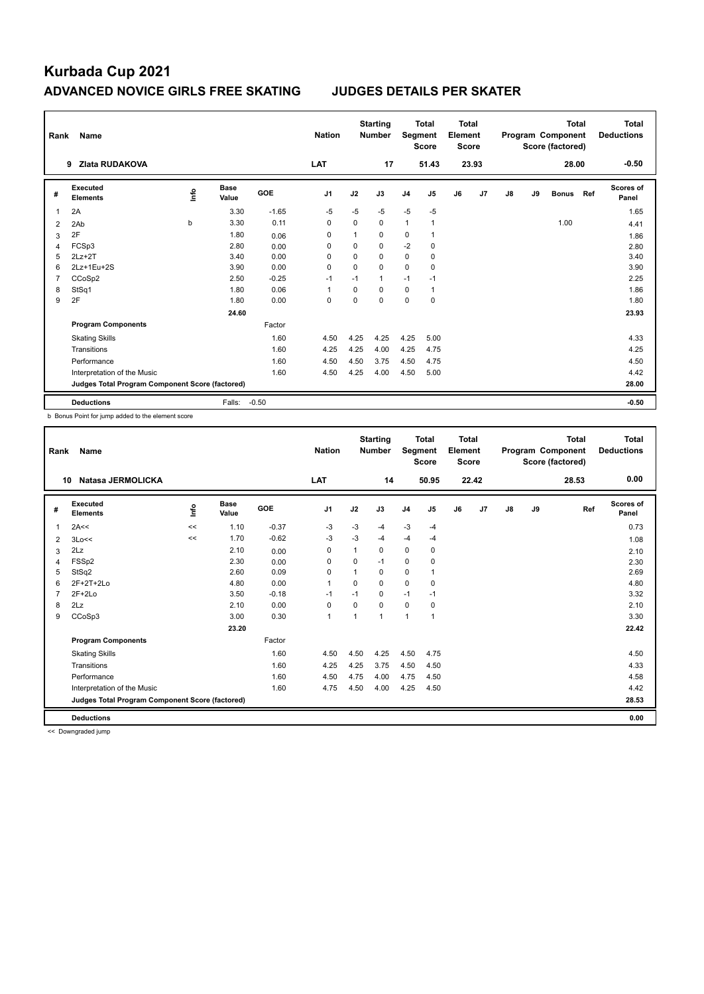| Rank           | Name                                            |    |                      |            | <b>Nation</b>  |          | <b>Starting</b><br><b>Number</b> | Segment        | <b>Total</b><br><b>Score</b> | Total<br>Element<br><b>Score</b> |       |    |    | <b>Total</b><br>Program Component<br>Score (factored) |     | <b>Total</b><br><b>Deductions</b> |
|----------------|-------------------------------------------------|----|----------------------|------------|----------------|----------|----------------------------------|----------------|------------------------------|----------------------------------|-------|----|----|-------------------------------------------------------|-----|-----------------------------------|
|                | <b>Zlata RUDAKOVA</b><br>9                      |    |                      |            | LAT            |          | 17                               |                | 51.43                        |                                  | 23.93 |    |    | 28.00                                                 |     | $-0.50$                           |
| #              | Executed<br><b>Elements</b>                     | ۴ů | <b>Base</b><br>Value | <b>GOE</b> | J <sub>1</sub> | J2       | J3                               | J <sub>4</sub> | J <sub>5</sub>               | J6                               | J7    | J8 | J9 | <b>Bonus</b>                                          | Ref | Scores of<br>Panel                |
| 1              | 2A                                              |    | 3.30                 | $-1.65$    | $-5$           | $-5$     | $-5$                             | $-5$           | $-5$                         |                                  |       |    |    |                                                       |     | 1.65                              |
| $\overline{2}$ | 2Ab                                             | b  | 3.30                 | 0.11       | $\mathbf 0$    | $\Omega$ | $\mathbf 0$                      | $\mathbf{1}$   | 1                            |                                  |       |    |    | 1.00                                                  |     | 4.41                              |
| 3              | 2F                                              |    | 1.80                 | 0.06       | $\Omega$       | 1        | $\Omega$                         | 0              | $\mathbf{1}$                 |                                  |       |    |    |                                                       |     | 1.86                              |
| 4              | FCSp3                                           |    | 2.80                 | 0.00       | $\Omega$       | $\Omega$ | $\Omega$                         | $-2$           | 0                            |                                  |       |    |    |                                                       |     | 2.80                              |
| 5              | $2Lz+2T$                                        |    | 3.40                 | 0.00       | $\Omega$       | $\Omega$ | 0                                | $\Omega$       | 0                            |                                  |       |    |    |                                                       |     | 3.40                              |
| 6              | 2Lz+1Eu+2S                                      |    | 3.90                 | 0.00       | $\Omega$       | $\Omega$ | $\Omega$                         | 0              | $\mathbf 0$                  |                                  |       |    |    |                                                       |     | 3.90                              |
| $\overline{7}$ | CCoSp2                                          |    | 2.50                 | $-0.25$    | $-1$           | $-1$     | $\mathbf{1}$                     | $-1$           | $-1$                         |                                  |       |    |    |                                                       |     | 2.25                              |
| 8              | StSq1                                           |    | 1.80                 | 0.06       | $\overline{1}$ | $\Omega$ | $\Omega$                         | 0              | 1                            |                                  |       |    |    |                                                       |     | 1.86                              |
| 9              | 2F                                              |    | 1.80                 | 0.00       | $\Omega$       | $\Omega$ | $\Omega$                         | 0              | 0                            |                                  |       |    |    |                                                       |     | 1.80                              |
|                |                                                 |    | 24.60                |            |                |          |                                  |                |                              |                                  |       |    |    |                                                       |     | 23.93                             |
|                | <b>Program Components</b>                       |    |                      | Factor     |                |          |                                  |                |                              |                                  |       |    |    |                                                       |     |                                   |
|                | <b>Skating Skills</b>                           |    |                      | 1.60       | 4.50           | 4.25     | 4.25                             | 4.25           | 5.00                         |                                  |       |    |    |                                                       |     | 4.33                              |
|                | Transitions                                     |    |                      | 1.60       | 4.25           | 4.25     | 4.00                             | 4.25           | 4.75                         |                                  |       |    |    |                                                       |     | 4.25                              |
|                | Performance                                     |    |                      | 1.60       | 4.50           | 4.50     | 3.75                             | 4.50           | 4.75                         |                                  |       |    |    |                                                       |     | 4.50                              |
|                | Interpretation of the Music                     |    |                      | 1.60       | 4.50           | 4.25     | 4.00                             | 4.50           | 5.00                         |                                  |       |    |    |                                                       |     | 4.42                              |
|                | Judges Total Program Component Score (factored) |    |                      |            |                |          |                                  |                |                              |                                  |       |    |    |                                                       |     | 28.00                             |
|                | <b>Deductions</b>                               |    | Falls:               | $-0.50$    |                |          |                                  |                |                              |                                  |       |    |    |                                                       |     | $-0.50$                           |

b Bonus Point for jump added to the element score

| Rank        | <b>Name</b>                                     |      |                      |            | <b>Nation</b> |          | <b>Starting</b><br><b>Number</b> | Segment        | Total<br><b>Score</b> | Total<br>Element<br><b>Score</b> |       |               |    | Total<br>Program Component<br>Score (factored) | <b>Total</b><br><b>Deductions</b> |
|-------------|-------------------------------------------------|------|----------------------|------------|---------------|----------|----------------------------------|----------------|-----------------------|----------------------------------|-------|---------------|----|------------------------------------------------|-----------------------------------|
|             | <b>Natasa JERMOLICKA</b><br>10                  |      |                      |            | LAT           |          | 14                               |                | 50.95                 |                                  | 22.42 |               |    | 28.53                                          | 0.00                              |
| #           | <b>Executed</b><br><b>Elements</b>              | lnfo | <b>Base</b><br>Value | <b>GOE</b> | J1            | J2       | J3                               | J <sub>4</sub> | J5                    | J6                               | J7    | $\mathsf{J}8$ | J9 | Ref                                            | <b>Scores of</b><br>Panel         |
| $\mathbf 1$ | 2A<<                                            | <<   | 1.10                 | $-0.37$    | $-3$          | $-3$     | $-4$                             | $-3$           | $-4$                  |                                  |       |               |    |                                                | 0.73                              |
| 2           | 3Lo<<                                           | <<   | 1.70                 | $-0.62$    | -3            | $-3$     | $-4$                             | $-4$           | $-4$                  |                                  |       |               |    |                                                | 1.08                              |
| 3           | 2Lz                                             |      | 2.10                 | 0.00       | 0             | 1        | 0                                | $\mathbf 0$    | 0                     |                                  |       |               |    |                                                | 2.10                              |
| 4           | FSSp2                                           |      | 2.30                 | 0.00       | 0             | 0        | $-1$                             | 0              | 0                     |                                  |       |               |    |                                                | 2.30                              |
| 5           | StSq2                                           |      | 2.60                 | 0.09       | 0             | 1        | 0                                | $\mathbf 0$    | 1                     |                                  |       |               |    |                                                | 2.69                              |
| 6           | $2F+2T+2Lo$                                     |      | 4.80                 | 0.00       | 1             | $\Omega$ | 0                                | $\Omega$       | 0                     |                                  |       |               |    |                                                | 4.80                              |
| 7           | $2F+2Lo$                                        |      | 3.50                 | $-0.18$    | $-1$          | $-1$     | 0                                | $-1$           | $-1$                  |                                  |       |               |    |                                                | 3.32                              |
| 8           | 2Lz                                             |      | 2.10                 | 0.00       | 0             | $\Omega$ | 0                                | 0              | 0                     |                                  |       |               |    |                                                | 2.10                              |
| 9           | CCoSp3                                          |      | 3.00                 | 0.30       | $\mathbf{1}$  | 1        | 1                                | $\overline{1}$ | $\mathbf{1}$          |                                  |       |               |    |                                                | 3.30                              |
|             |                                                 |      | 23.20                |            |               |          |                                  |                |                       |                                  |       |               |    |                                                | 22.42                             |
|             | <b>Program Components</b>                       |      |                      | Factor     |               |          |                                  |                |                       |                                  |       |               |    |                                                |                                   |
|             | <b>Skating Skills</b>                           |      |                      | 1.60       | 4.50          | 4.50     | 4.25                             | 4.50           | 4.75                  |                                  |       |               |    |                                                | 4.50                              |
|             | Transitions                                     |      |                      | 1.60       | 4.25          | 4.25     | 3.75                             | 4.50           | 4.50                  |                                  |       |               |    |                                                | 4.33                              |
|             | Performance                                     |      |                      | 1.60       | 4.50          | 4.75     | 4.00                             | 4.75           | 4.50                  |                                  |       |               |    |                                                | 4.58                              |
|             | Interpretation of the Music                     |      |                      | 1.60       | 4.75          | 4.50     | 4.00                             | 4.25           | 4.50                  |                                  |       |               |    |                                                | 4.42                              |
|             | Judges Total Program Component Score (factored) |      |                      |            |               |          |                                  |                |                       |                                  |       |               |    |                                                | 28.53                             |
|             | <b>Deductions</b>                               |      |                      |            |               |          |                                  |                |                       |                                  |       |               |    |                                                | 0.00                              |

<< Downgraded jump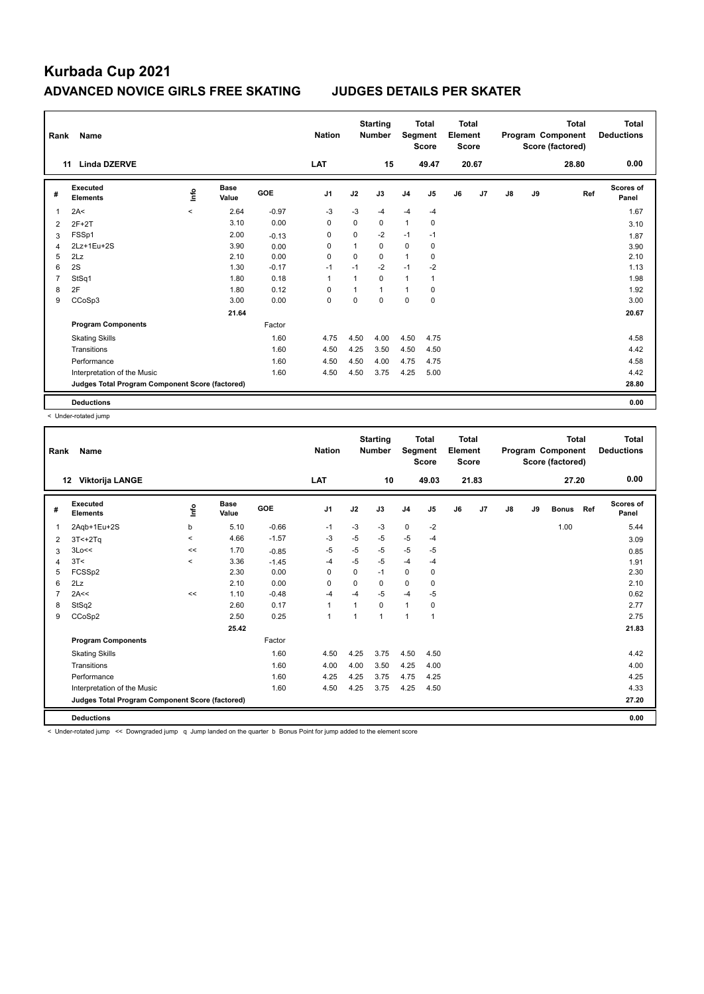| Rank           | Name                                            |         |                      |            | <b>Nation</b>  |              | <b>Starting</b><br><b>Number</b> |                | <b>Total</b><br>Segment<br><b>Score</b> | Total<br>Element<br><b>Score</b> |       |    |    | <b>Total</b><br>Program Component<br>Score (factored) | Total<br><b>Deductions</b> |
|----------------|-------------------------------------------------|---------|----------------------|------------|----------------|--------------|----------------------------------|----------------|-----------------------------------------|----------------------------------|-------|----|----|-------------------------------------------------------|----------------------------|
|                | <b>Linda DZERVE</b><br>11                       |         |                      |            | LAT            |              | 15                               |                | 49.47                                   |                                  | 20.67 |    |    | 28.80                                                 | 0.00                       |
| #              | Executed<br><b>Elements</b>                     | ۴ů      | <b>Base</b><br>Value | <b>GOE</b> | J <sub>1</sub> | J2           | J3                               | J <sub>4</sub> | J5                                      | J6                               | J7    | J8 | J9 | Ref                                                   | Scores of<br>Panel         |
| 1              | 2A<                                             | $\prec$ | 2.64                 | $-0.97$    | $-3$           | $-3$         | -4                               | $-4$           | $-4$                                    |                                  |       |    |    |                                                       | 1.67                       |
| 2              | $2F+2T$                                         |         | 3.10                 | 0.00       | $\mathbf 0$    | $\mathbf 0$  | $\mathbf 0$                      | $\mathbf{1}$   | $\mathbf 0$                             |                                  |       |    |    |                                                       | 3.10                       |
| 3              | FSSp1                                           |         | 2.00                 | $-0.13$    | 0              | $\mathbf 0$  | $-2$                             | $-1$           | $-1$                                    |                                  |       |    |    |                                                       | 1.87                       |
| $\overline{4}$ | 2Lz+1Eu+2S                                      |         | 3.90                 | 0.00       | 0              | $\mathbf{1}$ | $\mathbf 0$                      | 0              | $\mathbf 0$                             |                                  |       |    |    |                                                       | 3.90                       |
| 5              | 2Lz                                             |         | 2.10                 | 0.00       | $\Omega$       | $\Omega$     | $\Omega$                         | $\mathbf{1}$   | 0                                       |                                  |       |    |    |                                                       | 2.10                       |
| 6              | 2S                                              |         | 1.30                 | $-0.17$    | $-1$           | $-1$         | $-2$                             | $-1$           | $-2$                                    |                                  |       |    |    |                                                       | 1.13                       |
| $\overline{7}$ | StSq1                                           |         | 1.80                 | 0.18       | $\mathbf{1}$   | $\mathbf{1}$ | $\Omega$                         | 1              | $\mathbf{1}$                            |                                  |       |    |    |                                                       | 1.98                       |
| 8              | 2F                                              |         | 1.80                 | 0.12       | $\Omega$       | 1            | $\mathbf{1}$                     | $\mathbf{1}$   | $\mathbf 0$                             |                                  |       |    |    |                                                       | 1.92                       |
| 9              | CCoSp3                                          |         | 3.00                 | 0.00       | 0              | 0            | $\Omega$                         | 0              | 0                                       |                                  |       |    |    |                                                       | 3.00                       |
|                |                                                 |         | 21.64                |            |                |              |                                  |                |                                         |                                  |       |    |    |                                                       | 20.67                      |
|                | <b>Program Components</b>                       |         |                      | Factor     |                |              |                                  |                |                                         |                                  |       |    |    |                                                       |                            |
|                | <b>Skating Skills</b>                           |         |                      | 1.60       | 4.75           | 4.50         | 4.00                             | 4.50           | 4.75                                    |                                  |       |    |    |                                                       | 4.58                       |
|                | Transitions                                     |         |                      | 1.60       | 4.50           | 4.25         | 3.50                             | 4.50           | 4.50                                    |                                  |       |    |    |                                                       | 4.42                       |
|                | Performance                                     |         |                      | 1.60       | 4.50           | 4.50         | 4.00                             | 4.75           | 4.75                                    |                                  |       |    |    |                                                       | 4.58                       |
|                | Interpretation of the Music                     |         |                      | 1.60       | 4.50           | 4.50         | 3.75                             | 4.25           | 5.00                                    |                                  |       |    |    |                                                       | 4.42                       |
|                | Judges Total Program Component Score (factored) |         |                      |            |                |              |                                  |                |                                         |                                  |       |    |    |                                                       | 28.80                      |
|                | <b>Deductions</b>                               |         |                      |            |                |              |                                  |                |                                         |                                  |       |    |    |                                                       | 0.00                       |

< Under-rotated jump

| Rank | <b>Name</b>                                     |         |                      |         | <b>Nation</b>  |                | <b>Starting</b><br><b>Number</b> | Segment        | <b>Total</b><br><b>Score</b> | <b>Total</b><br>Element<br><b>Score</b> |       |               |    | <b>Total</b><br>Program Component<br>Score (factored) |     | <b>Total</b><br><b>Deductions</b> |
|------|-------------------------------------------------|---------|----------------------|---------|----------------|----------------|----------------------------------|----------------|------------------------------|-----------------------------------------|-------|---------------|----|-------------------------------------------------------|-----|-----------------------------------|
|      | Viktorija LANGE<br>12                           |         |                      |         | LAT            |                | 10                               |                | 49.03                        |                                         | 21.83 |               |    | 27.20                                                 |     | 0.00                              |
| #    | Executed<br><b>Elements</b>                     | Info    | <b>Base</b><br>Value | GOE     | J <sub>1</sub> | J2             | J3                               | J <sub>4</sub> | J5                           | J6                                      | J7    | $\mathsf{J}8$ | J9 | <b>Bonus</b>                                          | Ref | Scores of<br>Panel                |
| 1    | 2Agb+1Eu+2S                                     | b       | 5.10                 | $-0.66$ | -1             | $-3$           | -3                               | $\mathbf 0$    | $-2$                         |                                         |       |               |    | 1.00                                                  |     | 5.44                              |
| 2    | $3T < +2Tq$                                     | $\,<\,$ | 4.66                 | $-1.57$ | $-3$           | $-5$           | $-5$                             | $-5$           | $-4$                         |                                         |       |               |    |                                                       |     | 3.09                              |
| 3    | 3Lo<<                                           | <<      | 1.70                 | $-0.85$ | $-5$           | $-5$           | $-5$                             | $-5$           | $-5$                         |                                         |       |               |    |                                                       |     | 0.85                              |
| 4    | 3T <                                            | $\prec$ | 3.36                 | $-1.45$ | -4             | $-5$           | $-5$                             | $-4$           | $-4$                         |                                         |       |               |    |                                                       |     | 1.91                              |
| 5    | FCSSp2                                          |         | 2.30                 | 0.00    | 0              | 0              | $-1$                             | 0              | 0                            |                                         |       |               |    |                                                       |     | 2.30                              |
| 6    | 2Lz                                             |         | 2.10                 | 0.00    | 0              | 0              | 0                                | 0              | 0                            |                                         |       |               |    |                                                       |     | 2.10                              |
|      | 2A<<                                            | <<      | 1.10                 | $-0.48$ | $-4$           | $-4$           | $-5$                             | $-4$           | -5                           |                                         |       |               |    |                                                       |     | 0.62                              |
| 8    | StSq2                                           |         | 2.60                 | 0.17    | $\mathbf{1}$   | 1              | 0                                | $\mathbf{1}$   | 0                            |                                         |       |               |    |                                                       |     | 2.77                              |
| 9    | CCoSp2                                          |         | 2.50                 | 0.25    | $\mathbf{1}$   | $\overline{1}$ | $\overline{1}$                   | 1              | 1                            |                                         |       |               |    |                                                       |     | 2.75                              |
|      |                                                 |         | 25.42                |         |                |                |                                  |                |                              |                                         |       |               |    |                                                       |     | 21.83                             |
|      | <b>Program Components</b>                       |         |                      | Factor  |                |                |                                  |                |                              |                                         |       |               |    |                                                       |     |                                   |
|      | <b>Skating Skills</b>                           |         |                      | 1.60    | 4.50           | 4.25           | 3.75                             | 4.50           | 4.50                         |                                         |       |               |    |                                                       |     | 4.42                              |
|      | Transitions                                     |         |                      | 1.60    | 4.00           | 4.00           | 3.50                             | 4.25           | 4.00                         |                                         |       |               |    |                                                       |     | 4.00                              |
|      | Performance                                     |         |                      | 1.60    | 4.25           | 4.25           | 3.75                             | 4.75           | 4.25                         |                                         |       |               |    |                                                       |     | 4.25                              |
|      | Interpretation of the Music                     |         |                      | 1.60    | 4.50           | 4.25           | 3.75                             | 4.25           | 4.50                         |                                         |       |               |    |                                                       |     | 4.33                              |
|      | Judges Total Program Component Score (factored) |         |                      |         |                |                |                                  |                |                              |                                         |       |               |    |                                                       |     | 27.20                             |
|      | <b>Deductions</b>                               |         |                      |         |                |                |                                  |                |                              |                                         |       |               |    |                                                       |     | 0.00                              |

< Under-rotated jump << Downgraded jump q Jump landed on the quarter b Bonus Point for jump added to the element score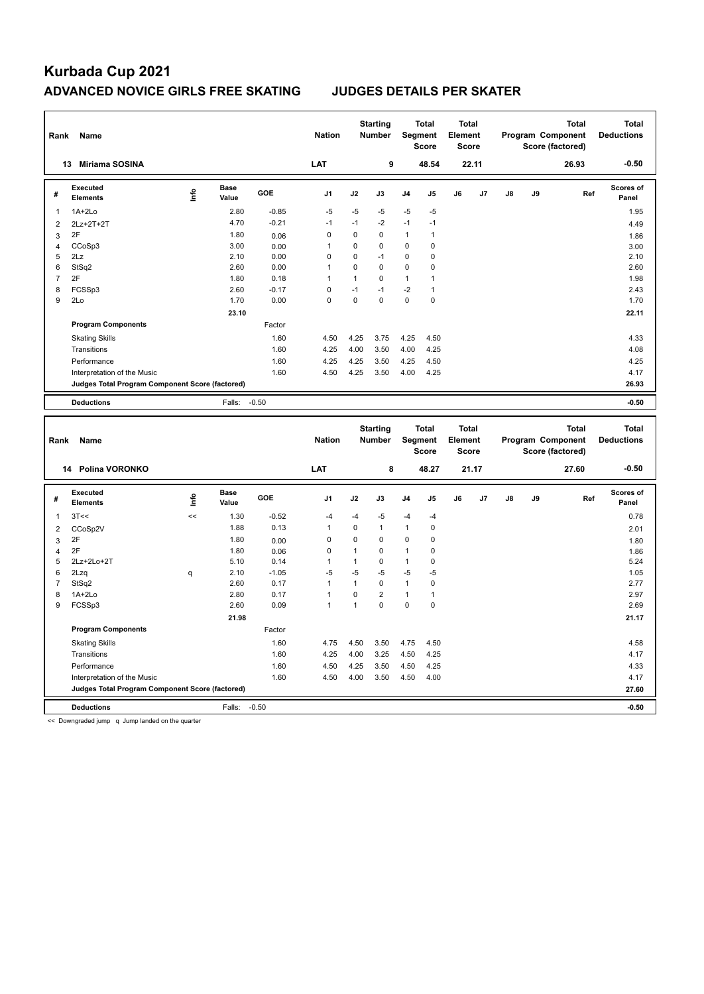| Rank                           | Name                                            |       |                      |                 | <b>Nation</b>        |              | <b>Starting</b><br><b>Number</b> |                      | <b>Total</b><br>Segment<br><b>Score</b> | <b>Total</b><br>Element<br><b>Score</b> |       |               |    | <b>Total</b><br>Program Component<br>Score (factored) |     | <b>Total</b><br><b>Deductions</b> |
|--------------------------------|-------------------------------------------------|-------|----------------------|-----------------|----------------------|--------------|----------------------------------|----------------------|-----------------------------------------|-----------------------------------------|-------|---------------|----|-------------------------------------------------------|-----|-----------------------------------|
|                                | Miriama SOSINA<br>13                            |       |                      |                 | LAT                  |              | 9                                |                      | 48.54                                   |                                         | 22.11 |               |    | 26.93                                                 |     | $-0.50$                           |
| #                              | <b>Executed</b><br><b>Elements</b>              | ۴     | <b>Base</b><br>Value | GOE             | J <sub>1</sub>       | J2           | J3                               | J4                   | J5                                      | J6                                      | J7    | $\mathsf{J}8$ | J9 |                                                       | Ref | <b>Scores of</b><br>Panel         |
| $\mathbf{1}$                   | $1A+2Lo$                                        |       | 2.80                 | $-0.85$         | $-5$                 | $-5$         | -5                               | $-5$                 | $-5$                                    |                                         |       |               |    |                                                       |     | 1.95                              |
| $\overline{2}$                 | 2Lz+2T+2T                                       |       | 4.70                 | $-0.21$         | $-1$                 | $-1$         | $-2$                             | $-1$                 | $-1$                                    |                                         |       |               |    |                                                       |     | 4.49                              |
| $\mathbf{3}$                   | 2F                                              |       | 1.80                 | 0.06            | $\mathbf 0$          | $\mathbf 0$  | $\mathbf 0$                      | $\mathbf{1}$         | $\mathbf{1}$                            |                                         |       |               |    |                                                       |     | 1.86                              |
| $\overline{4}$                 | CCoSp3                                          |       | 3.00                 | 0.00            | 1                    | 0            | $\mathbf 0$                      | 0                    | 0                                       |                                         |       |               |    |                                                       |     | 3.00                              |
| 5                              | 2Lz                                             |       | 2.10                 | 0.00            | 0                    | 0            | $-1$                             | 0                    | 0                                       |                                         |       |               |    |                                                       |     | 2.10                              |
| 6                              | StSq2                                           |       | 2.60                 | 0.00            | $\mathbf{1}$         | 0            | $\mathbf 0$                      | $\mathsf 0$          | 0                                       |                                         |       |               |    |                                                       |     | 2.60                              |
| $\overline{7}$                 | 2F                                              |       | 1.80                 | 0.18            | $\mathbf{1}$         | $\mathbf{1}$ | $\mathbf 0$                      | $\mathbf{1}$         | $\mathbf{1}$                            |                                         |       |               |    |                                                       |     | 1.98                              |
| 8                              | FCSSp3                                          |       | 2.60                 | $-0.17$         | $\mathbf 0$          | $-1$         | $-1$                             | $-2$                 | $\mathbf{1}$                            |                                         |       |               |    |                                                       |     | 2.43                              |
| 9                              | 2Lo                                             |       | 1.70                 | 0.00            | $\mathbf 0$          | $\mathbf 0$  | $\mathbf 0$                      | $\mathbf 0$          | $\mathbf 0$                             |                                         |       |               |    |                                                       |     | 1.70                              |
|                                |                                                 |       | 23.10                |                 |                      |              |                                  |                      |                                         |                                         |       |               |    |                                                       |     | 22.11                             |
|                                | <b>Program Components</b>                       |       |                      | Factor          |                      |              |                                  |                      |                                         |                                         |       |               |    |                                                       |     |                                   |
|                                | <b>Skating Skills</b>                           |       |                      | 1.60            | 4.50                 | 4.25         | 3.75                             | 4.25                 | 4.50                                    |                                         |       |               |    |                                                       |     | 4.33                              |
|                                | Transitions                                     |       |                      | 1.60            | 4.25                 | 4.00         | 3.50                             | 4.00                 | 4.25                                    |                                         |       |               |    |                                                       |     | 4.08                              |
|                                | Performance                                     |       |                      | 1.60            | 4.25                 | 4.25         | 3.50                             | 4.25                 | 4.50                                    |                                         |       |               |    |                                                       |     | 4.25                              |
|                                | Interpretation of the Music                     |       |                      | 1.60            | 4.50                 | 4.25         | 3.50                             | 4.00                 | 4.25                                    |                                         |       |               |    |                                                       |     | 4.17                              |
|                                | Judges Total Program Component Score (factored) |       |                      |                 |                      |              |                                  |                      |                                         |                                         |       |               |    |                                                       |     | 26.93                             |
|                                | <b>Deductions</b>                               |       | Falls:               | $-0.50$         |                      |              |                                  |                      |                                         |                                         |       |               |    |                                                       |     | $-0.50$                           |
|                                |                                                 |       |                      |                 |                      |              |                                  |                      |                                         |                                         |       |               |    |                                                       |     |                                   |
| Rank                           | Name                                            |       |                      |                 | <b>Nation</b>        |              | <b>Starting</b><br>Number        |                      | <b>Total</b><br><b>Segment</b><br>Score | <b>Total</b><br>Element<br>Score        |       |               |    | <b>Total</b><br>Program Component<br>Score (factored) |     | <b>Total</b><br><b>Deductions</b> |
|                                | 14 Polina VORONKO                               |       |                      |                 | LAT                  |              | 8                                |                      | 48.27                                   |                                         | 21.17 |               |    | 27.60                                                 |     | $-0.50$                           |
| #                              | <b>Executed</b><br><b>Elements</b>              | Life  | <b>Base</b><br>Value | GOE             | J <sub>1</sub>       | J2           | J3                               | J4                   | J5                                      | J6                                      | J7    | J8            | J9 |                                                       | Ref | Scores of<br>Panel                |
| $\mathbf{1}$                   |                                                 | $\,<$ |                      |                 |                      |              |                                  |                      |                                         |                                         |       |               |    |                                                       |     |                                   |
|                                | 3T<<                                            |       | 1.30<br>1.88         | $-0.52$<br>0.13 | $-4$<br>$\mathbf{1}$ | $-4$<br>0    | -5<br>$\mathbf{1}$               | $-4$<br>$\mathbf{1}$ | -4<br>0                                 |                                         |       |               |    |                                                       |     | 0.78                              |
| $\overline{2}$                 | CCoSp2V<br>2F                                   |       | 1.80                 |                 | 0                    | 0            | $\mathbf 0$                      | 0                    | $\mathbf 0$                             |                                         |       |               |    |                                                       |     | 2.01                              |
| $\mathbf{3}$<br>$\overline{4}$ | 2F                                              |       | 1.80                 | 0.00<br>0.06    | $\mathbf 0$          | $\mathbf{1}$ | $\mathbf 0$                      | $\mathbf{1}$         | $\pmb{0}$                               |                                         |       |               |    |                                                       |     | 1.80<br>1.86                      |
| 5                              | 2Lz+2Lo+2T                                      |       | 5.10                 | 0.14            | 1                    | $\mathbf{1}$ | $\mathbf 0$                      | $\mathbf{1}$         | 0                                       |                                         |       |               |    |                                                       |     | 5.24                              |
| 6                              | 2Lzq                                            | q     | 2.10                 | $-1.05$         | $-5$                 | $-5$         | $-5$                             | $-5$                 | $-5$                                    |                                         |       |               |    |                                                       |     | 1.05                              |
| $\overline{7}$                 | StSq2                                           |       | 2.60                 | 0.17            | $\mathbf{1}$         | $\mathbf{1}$ | $\mathbf 0$                      | $\mathbf{1}$         | $\mathbf 0$                             |                                         |       |               |    |                                                       |     | 2.77                              |
| 8                              | 1A+2Lo                                          |       | 2.80                 | 0.17            | $\mathbf{1}$         | 0            | $\overline{2}$                   | $\mathbf{1}$         | 1                                       |                                         |       |               |    |                                                       |     | 2.97                              |
| 9                              | FCSSp3                                          |       | 2.60                 | 0.09            | $\mathbf{1}$         | $\mathbf{1}$ | $\pmb{0}$                        | $\mathsf 0$          | $\pmb{0}$                               |                                         |       |               |    |                                                       |     | 2.69                              |
|                                |                                                 |       | 21.98                |                 |                      |              |                                  |                      |                                         |                                         |       |               |    |                                                       |     | 21.17                             |
|                                | <b>Program Components</b>                       |       |                      | Factor          |                      |              |                                  |                      |                                         |                                         |       |               |    |                                                       |     |                                   |
|                                | <b>Skating Skills</b>                           |       |                      | 1.60            | 4.75                 | 4.50         | 3.50                             | 4.75                 | 4.50                                    |                                         |       |               |    |                                                       |     | 4.58                              |
|                                | Transitions                                     |       |                      | 1.60            | 4.25                 | 4.00         | 3.25                             | 4.50                 | 4.25                                    |                                         |       |               |    |                                                       |     | 4.17                              |
|                                | Performance                                     |       |                      | 1.60            | 4.50                 | 4.25         | 3.50                             | 4.50                 | 4.25                                    |                                         |       |               |    |                                                       |     | 4.33                              |
|                                | Interpretation of the Music                     |       |                      | 1.60            | 4.50                 | 4.00         | 3.50                             | 4.50                 | 4.00                                    |                                         |       |               |    |                                                       |     | 4.17                              |
|                                | Judges Total Program Component Score (factored) |       |                      |                 |                      |              |                                  |                      |                                         |                                         |       |               |    |                                                       |     | 27.60                             |

<< Downgraded jump q Jump landed on the quarter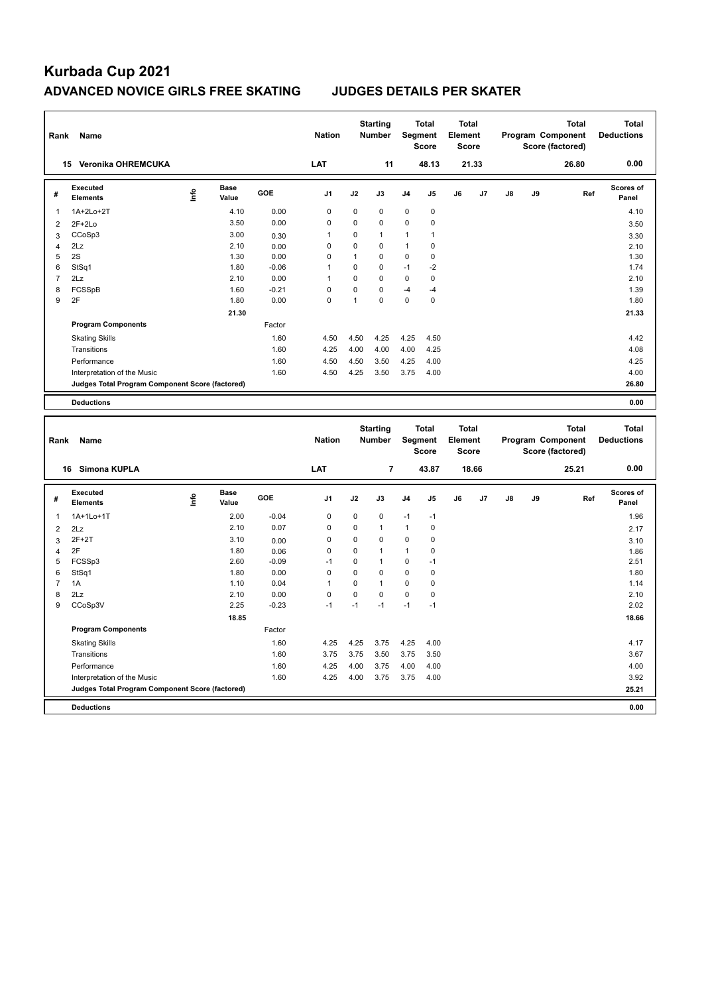| Rank                    | Name                                            |      |                      |         | <b>Nation</b>  |              | <b>Starting</b><br>Number        |              | <b>Total</b><br>Segment<br><b>Score</b> | <b>Total</b><br>Element<br><b>Score</b> |       |    |    | <b>Total</b><br>Program Component<br>Score (factored) |     | <b>Total</b><br><b>Deductions</b> |
|-------------------------|-------------------------------------------------|------|----------------------|---------|----------------|--------------|----------------------------------|--------------|-----------------------------------------|-----------------------------------------|-------|----|----|-------------------------------------------------------|-----|-----------------------------------|
|                         | 15 Veronika OHREMCUKA                           |      |                      |         | LAT            |              | 11                               |              | 48.13                                   |                                         | 21.33 |    |    | 26.80                                                 |     | 0.00                              |
| #                       | <b>Executed</b><br><b>Elements</b>              | ۴ů   | <b>Base</b><br>Value | GOE     | J1             | J2           | J3                               | J4           | J5                                      | J6                                      | J7    | J8 | J9 |                                                       | Ref | <b>Scores of</b><br>Panel         |
| 1                       | 1A+2Lo+2T                                       |      | 4.10                 | 0.00    | $\pmb{0}$      | $\pmb{0}$    | $\mathbf 0$                      | $\mathsf 0$  | $\pmb{0}$                               |                                         |       |    |    |                                                       |     | 4.10                              |
| $\overline{\mathbf{c}}$ | $2F+2Lo$                                        |      | 3.50                 | 0.00    | 0              | 0            | $\mathbf 0$                      | 0            | $\mathbf 0$                             |                                         |       |    |    |                                                       |     | 3.50                              |
| 3                       | CCoSp3                                          |      | 3.00                 | 0.30    | 1              | 0            | $\mathbf{1}$                     | 1            | 1                                       |                                         |       |    |    |                                                       |     | 3.30                              |
| 4                       | 2Lz                                             |      | 2.10                 | 0.00    | 0              | 0            | 0                                | 1            | 0                                       |                                         |       |    |    |                                                       |     | 2.10                              |
| 5                       | 2S                                              |      | 1.30                 | 0.00    | 0              | 1            | 0                                | 0            | $\pmb{0}$                               |                                         |       |    |    |                                                       |     | 1.30                              |
| 6                       | StSq1                                           |      | 1.80                 | $-0.06$ | 1              | 0            | $\mathbf 0$                      | $-1$         | $-2$                                    |                                         |       |    |    |                                                       |     | 1.74                              |
| $\overline{7}$          | 2Lz                                             |      | 2.10                 | 0.00    | $\mathbf{1}$   | 0            | $\mathbf 0$                      | 0            | $\pmb{0}$                               |                                         |       |    |    |                                                       |     | 2.10                              |
| 8                       | FCSSpB                                          |      | 1.60                 | $-0.21$ | 0              | 0            | $\mathbf 0$                      | $-4$         | $-4$                                    |                                         |       |    |    |                                                       |     | 1.39                              |
| 9                       | 2F                                              |      | 1.80                 | 0.00    | 0              | $\mathbf{1}$ | $\mathbf 0$                      | $\mathbf 0$  | $\pmb{0}$                               |                                         |       |    |    |                                                       |     | 1.80                              |
|                         |                                                 |      | 21.30                |         |                |              |                                  |              |                                         |                                         |       |    |    |                                                       |     | 21.33                             |
|                         | <b>Program Components</b>                       |      |                      | Factor  |                |              |                                  |              |                                         |                                         |       |    |    |                                                       |     |                                   |
|                         | <b>Skating Skills</b>                           |      |                      | 1.60    | 4.50           | 4.50         | 4.25                             | 4.25         | 4.50                                    |                                         |       |    |    |                                                       |     | 4.42                              |
|                         | Transitions                                     |      |                      | 1.60    | 4.25           | 4.00         | 4.00                             | 4.00         | 4.25                                    |                                         |       |    |    |                                                       |     | 4.08                              |
|                         | Performance                                     |      |                      | 1.60    | 4.50           | 4.50         | 3.50                             | 4.25         | 4.00                                    |                                         |       |    |    |                                                       |     | 4.25                              |
|                         | Interpretation of the Music                     |      |                      | 1.60    | 4.50           | 4.25         | 3.50                             | 3.75         | 4.00                                    |                                         |       |    |    |                                                       |     | 4.00                              |
|                         | Judges Total Program Component Score (factored) |      |                      |         |                |              |                                  |              |                                         |                                         |       |    |    |                                                       |     | 26.80                             |
|                         | <b>Deductions</b>                               |      |                      |         |                |              |                                  |              |                                         |                                         |       |    |    |                                                       |     | 0.00                              |
|                         |                                                 |      |                      |         |                |              |                                  |              |                                         |                                         |       |    |    |                                                       |     |                                   |
|                         |                                                 |      |                      |         |                |              |                                  |              |                                         |                                         |       |    |    |                                                       |     |                                   |
| Rank                    | Name                                            |      |                      |         | <b>Nation</b>  |              | <b>Starting</b><br><b>Number</b> |              | Total<br>Segment<br><b>Score</b>        | <b>Total</b><br>Element<br><b>Score</b> |       |    |    | <b>Total</b><br>Program Component<br>Score (factored) |     | <b>Total</b><br><b>Deductions</b> |
|                         | 16 Simona KUPLA                                 |      |                      |         | LAT            |              | $\overline{\mathbf{r}}$          |              | 43.87                                   |                                         | 18.66 |    |    | 25.21                                                 |     | 0.00                              |
| #                       | <b>Executed</b><br><b>Elements</b>              | lnfo | <b>Base</b><br>Value | GOE     | J <sub>1</sub> | J2           | J3                               | J4           | J <sub>5</sub>                          | J6                                      | J7    | J8 | J9 |                                                       | Ref | <b>Scores of</b><br>Panel         |
| 1                       | 1A+1Lo+1T                                       |      | 2.00                 | $-0.04$ | $\mathbf 0$    | $\mathbf 0$  | $\mathbf 0$                      | $-1$         | $-1$                                    |                                         |       |    |    |                                                       |     | 1.96                              |
| $\overline{\mathbf{c}}$ | 2Lz                                             |      | 2.10                 | 0.07    | 0              | 0            | $\mathbf{1}$                     | $\mathbf{1}$ | $\pmb{0}$                               |                                         |       |    |    |                                                       |     | 2.17                              |
| 3                       | $2F+2T$                                         |      | 3.10                 | 0.00    | 0              | $\pmb{0}$    | $\mathbf 0$                      | 0            | $\pmb{0}$                               |                                         |       |    |    |                                                       |     | 3.10                              |
| $\overline{\mathbf{4}}$ | 2F                                              |      | 1.80                 | 0.06    | 0              | 0            | $\mathbf{1}$                     | $\mathbf{1}$ | $\mathbf 0$                             |                                         |       |    |    |                                                       |     | 1.86                              |
| 5                       | FCSSp3                                          |      | 2.60                 | $-0.09$ | $-1$           | $\pmb{0}$    | $\mathbf{1}$                     | 0            | $-1$                                    |                                         |       |    |    |                                                       |     | 2.51                              |
| 6                       | StSq1                                           |      | 1.80                 | 0.00    | $\mathbf 0$    | $\mathbf 0$  | $\mathbf 0$                      | 0            | $\pmb{0}$                               |                                         |       |    |    |                                                       |     | 1.80                              |
| $\overline{7}$          | 1A                                              |      | 1.10                 | 0.04    | 1              | $\mathbf 0$  | $\mathbf{1}$                     | 0            | $\mathbf 0$                             |                                         |       |    |    |                                                       |     | 1.14                              |
| 8                       | 2Lz                                             |      | 2.10                 | 0.00    | $\mathbf 0$    | 0            | $\mathbf 0$                      | $\mathsf 0$  | $\pmb{0}$                               |                                         |       |    |    |                                                       |     | 2.10                              |
| 9                       | CCoSp3V                                         |      | 2.25                 | $-0.23$ | $-1$           | $-1$         | $-1$                             | $-1$         | $-1$                                    |                                         |       |    |    |                                                       |     | 2.02                              |
|                         |                                                 |      | 18.85                |         |                |              |                                  |              |                                         |                                         |       |    |    |                                                       |     | 18.66                             |
|                         | <b>Program Components</b>                       |      |                      | Factor  |                |              |                                  |              |                                         |                                         |       |    |    |                                                       |     |                                   |
|                         | <b>Skating Skills</b>                           |      |                      | 1.60    | 4.25           | 4.25         | 3.75                             | 4.25         | 4.00                                    |                                         |       |    |    |                                                       |     | 4.17                              |
|                         | Transitions                                     |      |                      | 1.60    | 3.75           | 3.75         | 3.50                             | 3.75         | 3.50                                    |                                         |       |    |    |                                                       |     | 3.67                              |
|                         | Performance                                     |      |                      | 1.60    | 4.25           | 4.00         | 3.75                             | 4.00         | 4.00                                    |                                         |       |    |    |                                                       |     | 4.00                              |
|                         | Interpretation of the Music                     |      |                      | 1.60    | 4.25           | 4.00         | 3.75                             | 3.75         | 4.00                                    |                                         |       |    |    |                                                       |     | 3.92                              |
|                         | Judges Total Program Component Score (factored) |      |                      |         |                |              |                                  |              |                                         |                                         |       |    |    |                                                       |     | 25.21                             |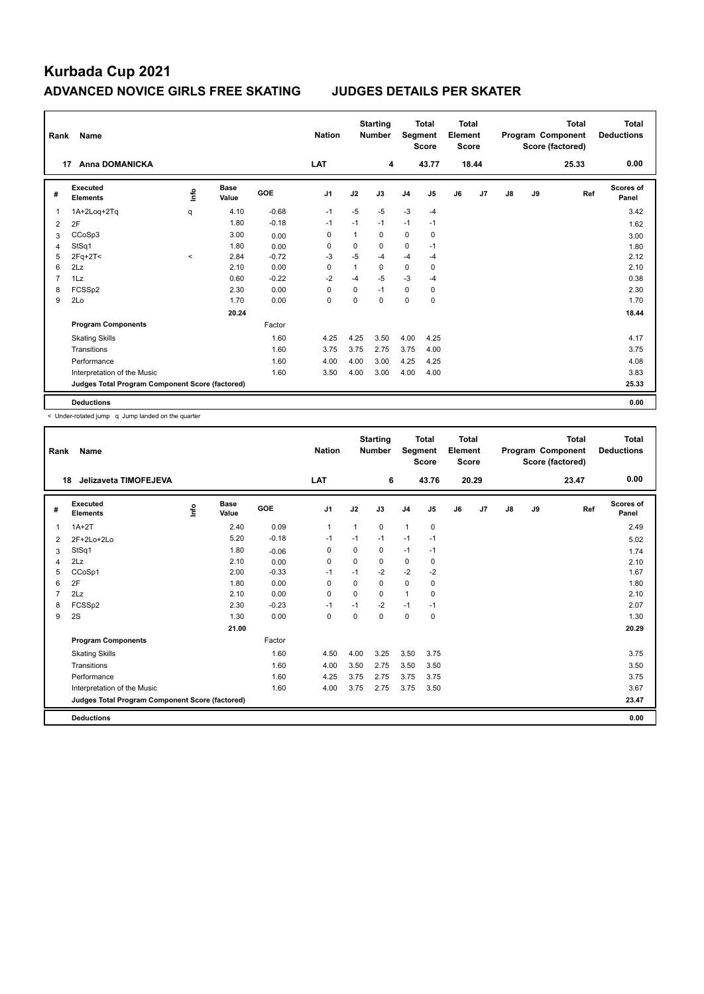| Rank | Name                                            |         |                      |            | <b>Nation</b>  |             | <b>Starting</b><br><b>Number</b> | Segment        | <b>Total</b><br><b>Score</b> | <b>Total</b><br>Element<br><b>Score</b> |       |    |    | <b>Total</b><br>Program Component<br>Score (factored) | Total<br><b>Deductions</b> |
|------|-------------------------------------------------|---------|----------------------|------------|----------------|-------------|----------------------------------|----------------|------------------------------|-----------------------------------------|-------|----|----|-------------------------------------------------------|----------------------------|
|      | <b>Anna DOMANICKA</b><br>17                     |         |                      |            | LAT            |             | 4                                |                | 43.77                        |                                         | 18.44 |    |    | 25.33                                                 | 0.00                       |
| #    | Executed<br><b>Elements</b>                     | lnfo    | <b>Base</b><br>Value | <b>GOE</b> | J <sub>1</sub> | J2          | J3                               | J <sub>4</sub> | J <sub>5</sub>               | J6                                      | J7    | J8 | J9 | Ref                                                   | Scores of<br>Panel         |
| 1    | 1A+2Log+2Tg                                     | q       | 4.10                 | $-0.68$    | $-1$           | $-5$        | $-5$                             | $-3$           | $-4$                         |                                         |       |    |    |                                                       | 3.42                       |
| 2    | 2F                                              |         | 1.80                 | $-0.18$    | $-1$           | $-1$        | $-1$                             | $-1$           | $-1$                         |                                         |       |    |    |                                                       | 1.62                       |
| 3    | CCoSp3                                          |         | 3.00                 | 0.00       | 0              |             | 0                                | 0              | 0                            |                                         |       |    |    |                                                       | 3.00                       |
| 4    | StSq1                                           |         | 1.80                 | 0.00       | 0              | $\mathbf 0$ | 0                                | $\mathbf 0$    | $-1$                         |                                         |       |    |    |                                                       | 1.80                       |
| 5    | $2Fq+2T<$                                       | $\prec$ | 2.84                 | $-0.72$    | -3             | $-5$        | $-4$                             | $-4$           | $-4$                         |                                         |       |    |    |                                                       | 2.12                       |
| 6    | 2Lz                                             |         | 2.10                 | 0.00       | 0              | 1           | 0                                | $\mathbf 0$    | 0                            |                                         |       |    |    |                                                       | 2.10                       |
| 7    | 1Lz                                             |         | 0.60                 | $-0.22$    | $-2$           | $-4$        | $-5$                             | $-3$           | $-4$                         |                                         |       |    |    |                                                       | 0.38                       |
| 8    | FCSSp2                                          |         | 2.30                 | 0.00       | 0              | $\mathbf 0$ | $-1$                             | $\mathbf 0$    | 0                            |                                         |       |    |    |                                                       | 2.30                       |
| 9    | 2Lo                                             |         | 1.70                 | 0.00       | 0              | 0           | $\mathbf 0$                      | 0              | 0                            |                                         |       |    |    |                                                       | 1.70                       |
|      |                                                 |         | 20.24                |            |                |             |                                  |                |                              |                                         |       |    |    |                                                       | 18.44                      |
|      | <b>Program Components</b>                       |         |                      | Factor     |                |             |                                  |                |                              |                                         |       |    |    |                                                       |                            |
|      | <b>Skating Skills</b>                           |         |                      | 1.60       | 4.25           | 4.25        | 3.50                             | 4.00           | 4.25                         |                                         |       |    |    |                                                       | 4.17                       |
|      | Transitions                                     |         |                      | 1.60       | 3.75           | 3.75        | 2.75                             | 3.75           | 4.00                         |                                         |       |    |    |                                                       | 3.75                       |
|      | Performance                                     |         |                      | 1.60       | 4.00           | 4.00        | 3.00                             | 4.25           | 4.25                         |                                         |       |    |    |                                                       | 4.08                       |
|      | Interpretation of the Music                     |         |                      | 1.60       | 3.50           | 4.00        | 3.00                             | 4.00           | 4.00                         |                                         |       |    |    |                                                       | 3.83                       |
|      | Judges Total Program Component Score (factored) |         |                      |            |                |             |                                  |                |                              |                                         |       |    |    |                                                       | 25.33                      |
|      | <b>Deductions</b>                               |         |                      |            |                |             |                                  |                |                              |                                         |       |    |    |                                                       | 0.00                       |

< Under-rotated jump q Jump landed on the quarter

| Rank           | Name                                            |      |                      |         | <b>Nation</b>  |          | <b>Starting</b><br><b>Number</b> | Segment        | <b>Total</b><br><b>Score</b> | <b>Total</b><br>Element<br><b>Score</b> |       |               |    | <b>Total</b><br>Program Component<br>Score (factored) | <b>Total</b><br><b>Deductions</b> |
|----------------|-------------------------------------------------|------|----------------------|---------|----------------|----------|----------------------------------|----------------|------------------------------|-----------------------------------------|-------|---------------|----|-------------------------------------------------------|-----------------------------------|
| 18             | Jelizaveta TIMOFEJEVA                           |      |                      |         | <b>LAT</b>     |          | 6                                |                | 43.76                        |                                         | 20.29 |               |    | 23.47                                                 | 0.00                              |
| #              | Executed<br><b>Elements</b>                     | ١nf٥ | <b>Base</b><br>Value | GOE     | J <sub>1</sub> | J2       | J3                               | J <sub>4</sub> | J <sub>5</sub>               | J6                                      | J7    | $\mathsf{J}8$ | J9 | Ref                                                   | <b>Scores of</b><br>Panel         |
| $\mathbf 1$    | $1A+2T$                                         |      | 2.40                 | 0.09    | $\mathbf{1}$   | 1        | 0                                | $\mathbf{1}$   | $\pmb{0}$                    |                                         |       |               |    |                                                       | 2.49                              |
| $\overline{2}$ | 2F+2Lo+2Lo                                      |      | 5.20                 | $-0.18$ | -1             | $-1$     | $-1$                             | $-1$           | $-1$                         |                                         |       |               |    |                                                       | 5.02                              |
| 3              | StSq1                                           |      | 1.80                 | $-0.06$ | 0              | 0        | 0                                | $-1$           | $-1$                         |                                         |       |               |    |                                                       | 1.74                              |
| 4              | 2Lz                                             |      | 2.10                 | 0.00    | $\Omega$       | 0        | 0                                | 0              | 0                            |                                         |       |               |    |                                                       | 2.10                              |
| 5              | CCoSp1                                          |      | 2.00                 | $-0.33$ | $-1$           | $-1$     | $-2$                             | $-2$           | $-2$                         |                                         |       |               |    |                                                       | 1.67                              |
| 6              | 2F                                              |      | 1.80                 | 0.00    | $\Omega$       | $\Omega$ | $\Omega$                         | $\Omega$       | $\mathbf 0$                  |                                         |       |               |    |                                                       | 1.80                              |
| $\overline{7}$ | 2Lz                                             |      | 2.10                 | 0.00    | 0              | 0        | 0                                | 1              | 0                            |                                         |       |               |    |                                                       | 2.10                              |
| 8              | FCSSp2                                          |      | 2.30                 | $-0.23$ | -1             | $-1$     | $-2$                             | $-1$           | $-1$                         |                                         |       |               |    |                                                       | 2.07                              |
| 9              | 2S                                              |      | 1.30                 | 0.00    | 0              | 0        | $\Omega$                         | $\mathbf 0$    | $\mathbf 0$                  |                                         |       |               |    |                                                       | 1.30                              |
|                |                                                 |      | 21.00                |         |                |          |                                  |                |                              |                                         |       |               |    |                                                       | 20.29                             |
|                | <b>Program Components</b>                       |      |                      | Factor  |                |          |                                  |                |                              |                                         |       |               |    |                                                       |                                   |
|                | <b>Skating Skills</b>                           |      |                      | 1.60    | 4.50           | 4.00     | 3.25                             | 3.50           | 3.75                         |                                         |       |               |    |                                                       | 3.75                              |
|                | Transitions                                     |      |                      | 1.60    | 4.00           | 3.50     | 2.75                             | 3.50           | 3.50                         |                                         |       |               |    |                                                       | 3.50                              |
|                | Performance                                     |      |                      | 1.60    | 4.25           | 3.75     | 2.75                             | 3.75           | 3.75                         |                                         |       |               |    |                                                       | 3.75                              |
|                | Interpretation of the Music                     |      |                      | 1.60    | 4.00           | 3.75     | 2.75                             | 3.75           | 3.50                         |                                         |       |               |    |                                                       | 3.67                              |
|                | Judges Total Program Component Score (factored) |      |                      |         |                |          |                                  |                |                              |                                         |       |               |    |                                                       | 23.47                             |
|                | <b>Deductions</b>                               |      |                      |         |                |          |                                  |                |                              |                                         |       |               |    |                                                       | 0.00                              |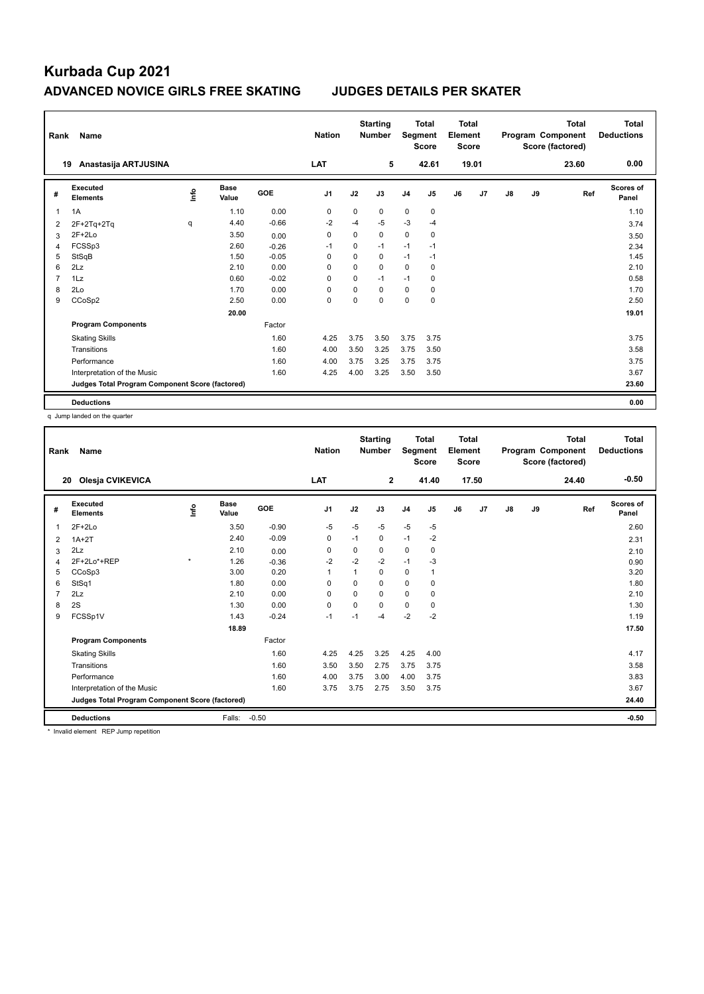| Rank           | Name                                            |      |                      |            | <b>Nation</b>  |             | <b>Starting</b><br><b>Number</b> | Segment        | <b>Total</b><br><b>Score</b> | Total<br>Element<br><b>Score</b> |       |    |    | <b>Total</b><br>Program Component<br>Score (factored) | Total<br><b>Deductions</b> |
|----------------|-------------------------------------------------|------|----------------------|------------|----------------|-------------|----------------------------------|----------------|------------------------------|----------------------------------|-------|----|----|-------------------------------------------------------|----------------------------|
|                | Anastasija ARTJUSINA<br>19                      |      |                      |            | LAT            |             | 5                                |                | 42.61                        |                                  | 19.01 |    |    | 23.60                                                 | 0.00                       |
| #              | Executed<br><b>Elements</b>                     | Info | <b>Base</b><br>Value | <b>GOE</b> | J <sub>1</sub> | J2          | J3                               | J <sub>4</sub> | J5                           | J6                               | J7    | J8 | J9 | Ref                                                   | <b>Scores of</b><br>Panel  |
| 1              | 1A                                              |      | 1.10                 | 0.00       | 0              | $\mathbf 0$ | $\Omega$                         | $\mathbf 0$    | $\mathbf 0$                  |                                  |       |    |    |                                                       | 1.10                       |
| 2              | $2F+2Tq+2Tq$                                    | q    | 4.40                 | $-0.66$    | $-2$           | $-4$        | $-5$                             | $-3$           | $-4$                         |                                  |       |    |    |                                                       | 3.74                       |
| 3              | $2F+2Lo$                                        |      | 3.50                 | 0.00       | $\Omega$       | $\Omega$    | $\Omega$                         | $\mathbf 0$    | 0                            |                                  |       |    |    |                                                       | 3.50                       |
| 4              | FCSSp3                                          |      | 2.60                 | $-0.26$    | -1             | $\mathbf 0$ | $-1$                             | $-1$           | $-1$                         |                                  |       |    |    |                                                       | 2.34                       |
| 5              | StSqB                                           |      | 1.50                 | $-0.05$    | $\Omega$       | $\Omega$    | $\Omega$                         | $-1$           | $-1$                         |                                  |       |    |    |                                                       | 1.45                       |
| 6              | 2Lz                                             |      | 2.10                 | 0.00       | 0              | $\mathbf 0$ | 0                                | $\mathbf 0$    | 0                            |                                  |       |    |    |                                                       | 2.10                       |
| $\overline{7}$ | 1Lz                                             |      | 0.60                 | $-0.02$    | $\Omega$       | $\Omega$    | $-1$                             | $-1$           | 0                            |                                  |       |    |    |                                                       | 0.58                       |
| 8              | 2Lo                                             |      | 1.70                 | 0.00       | 0              | 0           | $\Omega$                         | $\mathbf 0$    | $\mathbf 0$                  |                                  |       |    |    |                                                       | 1.70                       |
| 9              | CCoSp2                                          |      | 2.50                 | 0.00       | $\mathbf 0$    | $\mathbf 0$ | $\mathbf 0$                      | $\mathbf 0$    | $\mathbf 0$                  |                                  |       |    |    |                                                       | 2.50                       |
|                |                                                 |      | 20.00                |            |                |             |                                  |                |                              |                                  |       |    |    |                                                       | 19.01                      |
|                | <b>Program Components</b>                       |      |                      | Factor     |                |             |                                  |                |                              |                                  |       |    |    |                                                       |                            |
|                | <b>Skating Skills</b>                           |      |                      | 1.60       | 4.25           | 3.75        | 3.50                             | 3.75           | 3.75                         |                                  |       |    |    |                                                       | 3.75                       |
|                | Transitions                                     |      |                      | 1.60       | 4.00           | 3.50        | 3.25                             | 3.75           | 3.50                         |                                  |       |    |    |                                                       | 3.58                       |
|                | Performance                                     |      |                      | 1.60       | 4.00           | 3.75        | 3.25                             | 3.75           | 3.75                         |                                  |       |    |    |                                                       | 3.75                       |
|                | Interpretation of the Music                     |      |                      | 1.60       | 4.25           | 4.00        | 3.25                             | 3.50           | 3.50                         |                                  |       |    |    |                                                       | 3.67                       |
|                | Judges Total Program Component Score (factored) |      |                      |            |                |             |                                  |                |                              |                                  |       |    |    |                                                       | 23.60                      |
|                | <b>Deductions</b>                               |      |                      |            |                |             |                                  |                |                              |                                  |       |    |    |                                                       | 0.00                       |

q Jump landed on the quarter

| Rank | Name                                            |         |                      |         | <b>Nation</b>  |          | <b>Starting</b><br><b>Number</b> | Segment        | <b>Total</b><br><b>Score</b> | <b>Total</b><br>Element<br><b>Score</b> |       |               |    | <b>Total</b><br>Program Component<br>Score (factored) | <b>Total</b><br><b>Deductions</b> |
|------|-------------------------------------------------|---------|----------------------|---------|----------------|----------|----------------------------------|----------------|------------------------------|-----------------------------------------|-------|---------------|----|-------------------------------------------------------|-----------------------------------|
| 20   | Olesja CVIKEVICA                                |         |                      |         | LAT            |          | $\mathbf{2}$                     |                | 41.40                        |                                         | 17.50 |               |    | 24.40                                                 | $-0.50$                           |
| #    | Executed<br><b>Elements</b>                     | lnfo    | <b>Base</b><br>Value | GOE     | J <sub>1</sub> | J2       | J3                               | J <sub>4</sub> | J5                           | J6                                      | J7    | $\mathsf{J}8$ | J9 | Ref                                                   | <b>Scores of</b><br>Panel         |
| 1    | $2F+2Lo$                                        |         | 3.50                 | $-0.90$ | -5             | $-5$     | $-5$                             | $-5$           | $-5$                         |                                         |       |               |    |                                                       | 2.60                              |
| 2    | $1A+2T$                                         |         | 2.40                 | $-0.09$ | 0              | $-1$     | 0                                | $-1$           | $-2$                         |                                         |       |               |    |                                                       | 2.31                              |
| 3    | 2Lz                                             |         | 2.10                 | 0.00    | 0              | 0        | 0                                | $\mathbf 0$    | 0                            |                                         |       |               |    |                                                       | 2.10                              |
| 4    | 2F+2Lo*+REP                                     | $\star$ | 1.26                 | $-0.36$ | $-2$           | $-2$     | $-2$                             | $-1$           | $-3$                         |                                         |       |               |    |                                                       | 0.90                              |
| 5    | CCoSp3                                          |         | 3.00                 | 0.20    | $\mathbf{1}$   |          | 0                                | $\mathbf 0$    | 1                            |                                         |       |               |    |                                                       | 3.20                              |
| 6    | StSq1                                           |         | 1.80                 | 0.00    | 0              | $\Omega$ | 0                                | $\mathbf 0$    | 0                            |                                         |       |               |    |                                                       | 1.80                              |
|      | 2Lz                                             |         | 2.10                 | 0.00    | $\Omega$       | $\Omega$ | 0                                | $\Omega$       | 0                            |                                         |       |               |    |                                                       | 2.10                              |
| 8    | 2S                                              |         | 1.30                 | 0.00    | $\mathbf 0$    | 0        | 0                                | $\mathbf 0$    | 0                            |                                         |       |               |    |                                                       | 1.30                              |
| 9    | FCSSp1V                                         |         | 1.43                 | $-0.24$ | $-1$           | $-1$     | $-4$                             | $-2$           | $-2$                         |                                         |       |               |    |                                                       | 1.19                              |
|      |                                                 |         | 18.89                |         |                |          |                                  |                |                              |                                         |       |               |    |                                                       | 17.50                             |
|      | <b>Program Components</b>                       |         |                      | Factor  |                |          |                                  |                |                              |                                         |       |               |    |                                                       |                                   |
|      | <b>Skating Skills</b>                           |         |                      | 1.60    | 4.25           | 4.25     | 3.25                             | 4.25           | 4.00                         |                                         |       |               |    |                                                       | 4.17                              |
|      | Transitions                                     |         |                      | 1.60    | 3.50           | 3.50     | 2.75                             | 3.75           | 3.75                         |                                         |       |               |    |                                                       | 3.58                              |
|      | Performance                                     |         |                      | 1.60    | 4.00           | 3.75     | 3.00                             | 4.00           | 3.75                         |                                         |       |               |    |                                                       | 3.83                              |
|      | Interpretation of the Music                     |         |                      | 1.60    | 3.75           | 3.75     | 2.75                             | 3.50           | 3.75                         |                                         |       |               |    |                                                       | 3.67                              |
|      | Judges Total Program Component Score (factored) |         |                      |         |                |          |                                  |                |                              |                                         |       |               |    |                                                       | 24.40                             |
|      | <b>Deductions</b>                               |         | Falls:               | $-0.50$ |                |          |                                  |                |                              |                                         |       |               |    |                                                       | $-0.50$                           |

\* Invalid element REP Jump repetition